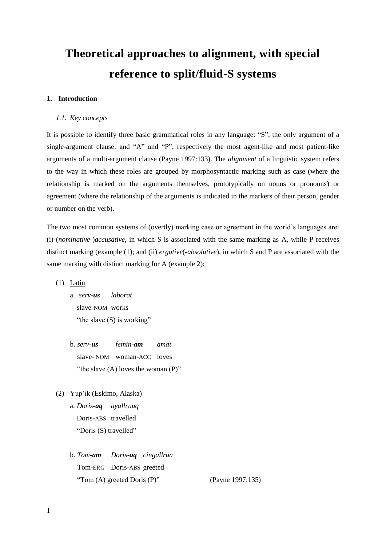# **Theoretical approaches to alignment, with special reference to split/fluid-S systems**

# **1. Introduction**

## *1.1. Key concepts*

It is possible to identify three basic grammatical roles in any language: "S", the only argument of a single-argument clause; and "A" and "P", respectively the most agent-like and most patient-like arguments of a multi-argument clause (Payne 1997:133). The *alignment* of a linguistic system refers to the way in which these roles are grouped by morphosyntactic marking such as case (where the relationship is marked on the arguments themselves, prototypically on nouns or pronouns) or agreement (where the relationship of the arguments is indicated in the markers of their person, gender or number on the verb).

The two most common systems of (overtly) marking case or agreement in the world's languages are: (i) (*nominative-*)*accusative*, in which S is associated with the same marking as A, while P receives distinct marking (example [\(1\);](#page-0-0) and (ii) *ergative*(*-absolutive*), in which S and P are associated with the same marking with distinct marking for A (example 2):

<span id="page-0-0"></span>(1) Latin

- a. *serv-us laborat* slave-NOM works "the slave  $(S)$  is working"
- b. *serv-us femin-am amat* slave- NOM woman-ACC loves "the slave  $(A)$  loves the woman  $(P)$ "
- (2) Yup'ik (Eskimo, Alaska)

a. *Doris-aq ayallruuq* Doris-ABS travelled "Doris (S) travelled"

b. *Tom-am Doris-aq cingallrua* Tom-ERG Doris-ABS greeted "Tom  $(A)$  greeted Doris  $(P)$ " (Payne 1997:135)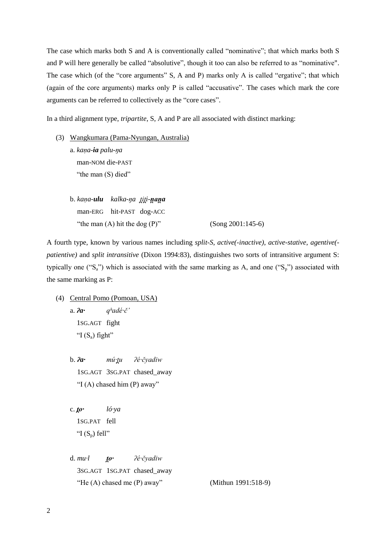The case which marks both S and A is conventionally called "nominative"; that which marks both S and P will here generally be called "absolutive", though it too can also be referred to as "nominative". The case which (of the "core arguments" S, A and P) marks only A is called "ergative"; that which (again of the core arguments) marks only P is called "accusative". The cases which mark the core arguments can be referred to collectively as the "core cases".

In a third alignment type, *tripartite*, S, A and P are all associated with distinct marking:

- (3) Wangkumara (Pama-Nyungan, Australia) a. *kaṇa-ia palu-ŋa* man-NOM die-PAST "the man  $(S)$  died"
	- b. kaņa-**ulu** kalka-ņa titi-naņa man-ERG hit-PAST dog-ACC "the man  $(A)$  hit the dog  $(P)$ " (Song 2001:145-6)

A fourth type, known by various names including *split-S*, *active(-inactive)*, *active-stative*, *agentive( patientive)* and *split intransitive* (Dixon 1994:83), distinguishes two sorts of intransitive argument S: typically one ("S<sub>a</sub>") which is associated with the same marking as A, and one ("S<sub>p</sub>") associated with

(4) Central Pomo (Pomoan, USA) a. *ʔa· qʰadé·č'* 1SG.AGT fight "I  $(S_a)$  fight"

the same marking as P:

b.  $2a \cdot m\acute{u} \cdot tu$   $2\acute{e} \cdot \acute{e} \nu adiw$ 1SG.AGT 3SG.PAT chased\_away "I (A) chased him  $(P)$  away"

c. *ló·ya* c. 1SG.PAT fell "I  $(S_n)$  fell"

d. *mu*·*l <i>to*· *2é*·čyadiw 3SG.AGT 1SG.PAT chased\_away "He (A) chased me (P) away" (Mithun 1991:518-9)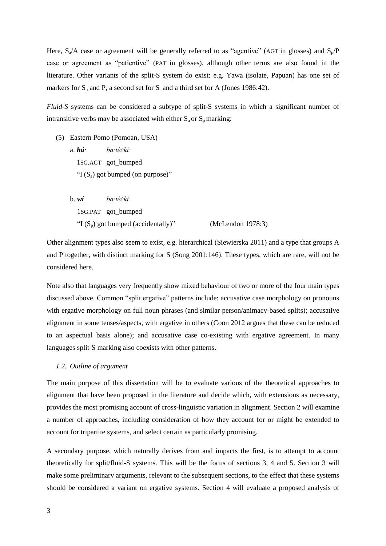Here,  $S_a/A$  case or agreement will be generally referred to as "agentive" (AGT in glosses) and  $S_p/P$ case or agreement as "patientive" (PAT in glosses), although other terms are also found in the literature. Other variants of the split-S system do exist: e.g. Yawa (isolate, Papuan) has one set of markers for  $S_p$  and P, a second set for  $S_a$  and a third set for A (Jones 1986:42).

*Fluid-S* systems can be considered a subtype of split-S systems in which a significant number of intransitive verbs may be associated with either  $S_a$  or  $S_p$  marking:

- (5) Eastern Pomo (Pomoan, USA) a. *há*· *ba·téċki*· 1SG.AGT got\_bumped "I  $(S_a)$  got bumped (on purpose)"
	- b. *wí ba· éċk ·* 1SG.PAT got bumped "I  $(S_n)$  got bumped (accidentally)" (McLendon 1978:3)

Other alignment types also seem to exist, e.g. hierarchical (Siewierska 2011) and a type that groups A and P together, with distinct marking for S (Song 2001:146). These types, which are rare, will not be considered here.

Note also that languages very frequently show mixed behaviour of two or more of the four main types discussed above. Common "split ergative" patterns include: accusative case morphology on pronouns with ergative morphology on full noun phrases (and similar person/animacy-based splits); accusative alignment in some tenses/aspects, with ergative in others (Coon 2012 argues that these can be reduced to an aspectual basis alone); and accusative case co-existing with ergative agreement. In many languages split-S marking also coexists with other patterns.

## <span id="page-2-0"></span>*1.2. Outline of argument*

The main purpose of this dissertation will be to evaluate various of the theoretical approaches to alignment that have been proposed in the literature and decide which, with extensions as necessary, provides the most promising account of cross-linguistic variation in alignment. Section 2 will examine a number of approaches, including consideration of how they account for or might be extended to account for tripartite systems, and select certain as particularly promising.

A secondary purpose, which naturally derives from and impacts the first, is to attempt to account theoretically for split/fluid-S systems. This will be the focus of sections 3, 4 and 5. Section 3 will make some preliminary arguments, relevant to the subsequent sections, to the effect that these systems should be considered a variant on ergative systems. Section 4 will evaluate a proposed analysis of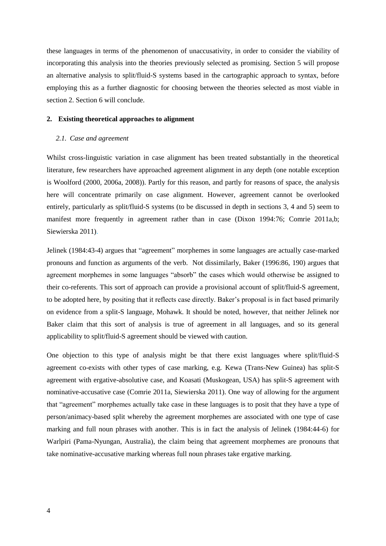these languages in terms of the phenomenon of unaccusativity, in order to consider the viability of incorporating this analysis into the theories previously selected as promising. Section 5 will propose an alternative analysis to split/fluid-S systems based in the cartographic approach to syntax, before employing this as a further diagnostic for choosing between the theories selected as most viable in section 2. Section 6 will conclude.

## <span id="page-3-1"></span>**2. Existing theoretical approaches to alignment**

# <span id="page-3-0"></span>*2.1. Case and agreement*

Whilst cross-linguistic variation in case alignment has been treated substantially in the theoretical literature, few researchers have approached agreement alignment in any depth (one notable exception is Woolford (2000, 2006a, 2008)). Partly for this reason, and partly for reasons of space, the analysis here will concentrate primarily on case alignment. However, agreement cannot be overlooked entirely, particularly as split/fluid-S systems (to be discussed in depth in sections 3, 4 and 5) seem to manifest more frequently in agreement rather than in case (Dixon 1994:76; Comrie 2011a,b; Siewierska 2011).

Jelinek (1984:43-4) argues that "agreement" morphemes in some languages are actually case-marked pronouns and function as arguments of the verb. Not dissimilarly, Baker (1996:86, 190) argues that agreement morphemes in some languages "absorb" the cases which would otherwise be assigned to their co-referents. This sort of approach can provide a provisional account of split/fluid-S agreement, to be adopted here, by positing that it reflects case directly. Baker's proposal is in fact based primarily on evidence from a split-S language, Mohawk. It should be noted, however, that neither Jelinek nor Baker claim that this sort of analysis is true of agreement in all languages, and so its general applicability to split/fluid-S agreement should be viewed with caution.

One objection to this type of analysis might be that there exist languages where split/fluid-S agreement co-exists with other types of case marking, e.g. Kewa (Trans-New Guinea) has split-S agreement with ergative-absolutive case, and Koasati (Muskogean, USA) has split-S agreement with nominative-accusative case (Comrie 2011a, Siewierska 2011). One way of allowing for the argument that "agreement" morphemes actually take case in these languages is to posit that they have a type of person/animacy-based split whereby the agreement morphemes are associated with one type of case marking and full noun phrases with another. This is in fact the analysis of Jelinek (1984:44-6) for Warlpiri (Pama-Nyungan, Australia), the claim being that agreement morphemes are pronouns that take nominative-accusative marking whereas full noun phrases take ergative marking.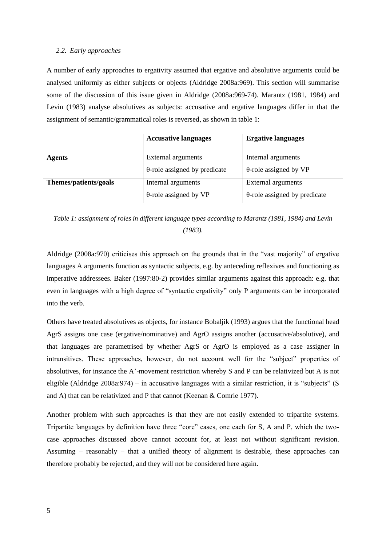#### *2.2. Early approaches*

A number of early approaches to ergativity assumed that ergative and absolutive arguments could be analysed uniformly as either subjects or objects (Aldridge 2008a:969). This section will summarise some of the discussion of this issue given in Aldridge (2008a:969-74). Marantz (1981, 1984) and Levin (1983) analyse absolutives as subjects: accusative and ergative languages differ in that the assignment of semantic/grammatical roles is reversed, as shown in table 1:

|                       | <b>Accusative languages</b>          | <b>Ergative languages</b>            |
|-----------------------|--------------------------------------|--------------------------------------|
| <b>Agents</b>         | External arguments                   | Internal arguments                   |
|                       | $\theta$ -role assigned by predicate | $\theta$ -role assigned by VP        |
| Themes/patients/goals | Internal arguments                   | External arguments                   |
|                       | $\theta$ -role assigned by VP        | $\theta$ -role assigned by predicate |

*Table 1: assignment of roles in different language types according to Marantz (1981, 1984) and Levin (1983).*

Aldridge (2008a:970) criticises this approach on the grounds that in the "vast majority" of ergative languages A arguments function as syntactic subjects, e.g. by anteceding reflexives and functioning as imperative addressees. Baker (1997:80-2) provides similar arguments against this approach: e.g. that even in languages with a high degree of "syntactic ergativity" only P arguments can be incorporated into the verb.

Others have treated absolutives as objects, for instance Bobaljik (1993) argues that the functional head AgrS assigns one case (ergative/nominative) and AgrO assigns another (accusative/absolutive), and that languages are parametrised by whether AgrS or AgrO is employed as a case assigner in intransitives. These approaches, however, do not account well for the "subject" properties of absolutives, for instance the A'-movement restriction whereby S and P can be relativized but A is not eligible (Aldridge 2008a:974) – in accusative languages with a similar restriction, it is "subjects" (S and A) that can be relativized and P that cannot (Keenan & Comrie 1977).

Another problem with such approaches is that they are not easily extended to tripartite systems. Tripartite languages by definition have three "core" cases, one each for S, A and P, which the twocase approaches discussed above cannot account for, at least not without significant revision. Assuming – reasonably – that a unified theory of alignment is desirable, these approaches can therefore probably be rejected, and they will not be considered here again.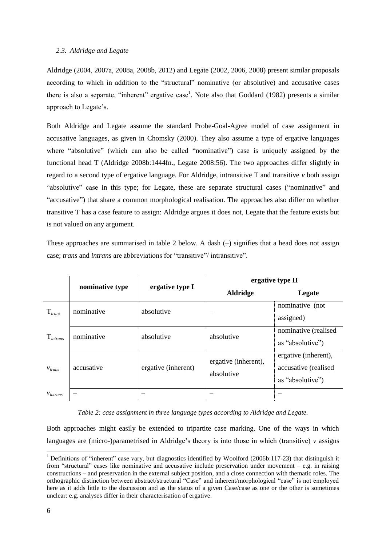# <span id="page-5-0"></span>*2.3. Aldridge and Legate*

Aldridge (2004, 2007a, 2008a, 2008b, 2012) and Legate (2002, 2006, 2008) present similar proposals according to which in addition to the "structural" nominative (or absolutive) and accusative cases there is also a separate, "inherent" ergative case<sup>1</sup>. Note also that Goddard (1982) presents a similar approach to Legate's.

Both Aldridge and Legate assume the standard Probe-Goal-Agree model of case assignment in accusative languages, as given in Chomsky (2000). They also assume a type of ergative languages where "absolutive" (which can also be called "nominative") case is uniquely assigned by the functional head T (Aldridge 2008b:1444fn., Legate 2008:56). The two approaches differ slightly in regard to a second type of ergative language. For Aldridge, intransitive  $T$  and transitive  $\nu$  both assign "absolutive" case in this type; for Legate, these are separate structural cases ("nominative" and "accusative") that share a common morphological realisation. The approaches also differ on whether transitive T has a case feature to assign: Aldridge argues it does not, Legate that the feature exists but is not valued on any argument.

These approaches are summarised in table 2 below. A dash (–) signifies that a head does not assign case; *trans* and *intrans* are abbreviations for "transitive"/ intransitive".

|               | nominative type | ergative type I     |                                    | ergative type II                                                 |  |  |
|---------------|-----------------|---------------------|------------------------------------|------------------------------------------------------------------|--|--|
|               |                 |                     | <b>Aldridge</b>                    | Legate                                                           |  |  |
| $T_{trans}$   | nominative      | absolutive          |                                    | nominative (not<br>assigned)                                     |  |  |
| $T_{intrans}$ | nominative      | absolutive          | absolutive                         | nominative (realised<br>as "absolutive")                         |  |  |
| $V_{trans}$   | accusative      | ergative (inherent) | ergative (inherent),<br>absolutive | ergative (inherent),<br>accusative (realised<br>as "absolutive") |  |  |
| $V_{intrans}$ |                 |                     |                                    |                                                                  |  |  |

*Table 2: case assignment in three language types according to Aldridge and Legate.*

Both approaches might easily be extended to tripartite case marking. One of the ways in which languages are (micro-)parametrised in Aldridge's theory is into those in which (transitive) *v* assigns

1

<sup>&</sup>lt;sup>1</sup> Definitions of "inherent" case vary, but diagnostics identified by Woolford (2006b:117-23) that distinguish it from "structural" cases like nominative and accusative include preservation under movement – e.g. in raising constructions – and preservation in the external subject position, and a close connection with thematic roles. The orthographic distinction between abstract/structural "Case" and inherent/morphological "case" is not employed here as it adds little to the discussion and as the status of a given Case/case as one or the other is sometimes unclear: e.g. analyses differ in their characterisation of ergative.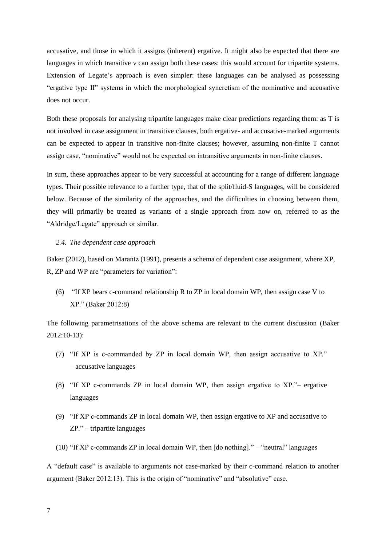accusative, and those in which it assigns (inherent) ergative. It might also be expected that there are languages in which transitive  $\nu$  can assign both these cases: this would account for tripartite systems. Extension of Legate's approach is even simpler: these languages can be analysed as possessing "ergative type II" systems in which the morphological syncretism of the nominative and accusative does not occur.

Both these proposals for analysing tripartite languages make clear predictions regarding them: as T is not involved in case assignment in transitive clauses, both ergative- and accusative-marked arguments can be expected to appear in transitive non-finite clauses; however, assuming non-finite T cannot assign case, "nominative" would not be expected on intransitive arguments in non-finite clauses.

In sum, these approaches appear to be very successful at accounting for a range of different language types. Their possible relevance to a further type, that of the split/fluid-S languages, will be considered below. Because of the similarity of the approaches, and the difficulties in choosing between them, they will primarily be treated as variants of a single approach from now on, referred to as the "Aldridge/Legate" approach or similar.

## *2.4. The dependent case approach*

Baker (2012), based on Marantz (1991), presents a schema of dependent case assignment, where XP, R, ZP and WP are "parameters for variation":

(6) "If XP bears c-command relationship R to ZP in local domain WP, then assign case V to XP." (Baker 2012:8)

The following parametrisations of the above schema are relevant to the current discussion (Baker 2012:10-13):

- (7) "If XP is c-commanded by ZP in local domain WP, then assign accusative to XP." – accusative languages
- (8) "If XP c-commands ZP in local domain WP, then assign ergative to XP."– ergative languages
- (9) "If XP c-commands ZP in local domain WP, then assign ergative to XP and accusative to ZP." – tripartite languages
- (10) "If XP c-commands ZP in local domain WP, then [do nothing]." "neutral" languages

A "default case" is available to arguments not case-marked by their c-command relation to another argument (Baker 2012:13). This is the origin of "nominative" and "absolutive" case.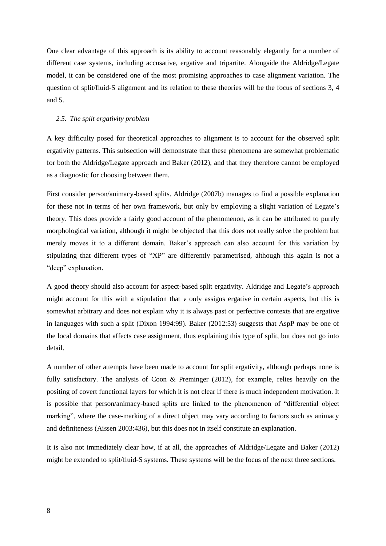One clear advantage of this approach is its ability to account reasonably elegantly for a number of different case systems, including accusative, ergative and tripartite. Alongside the Aldridge/Legate model, it can be considered one of the most promising approaches to case alignment variation. The question of split/fluid-S alignment and its relation to these theories will be the focus of sections 3, 4 and 5.

#### *2.5. The split ergativity problem*

A key difficulty posed for theoretical approaches to alignment is to account for the observed split ergativity patterns. This subsection will demonstrate that these phenomena are somewhat problematic for both the Aldridge/Legate approach and Baker (2012), and that they therefore cannot be employed as a diagnostic for choosing between them.

First consider person/animacy-based splits. Aldridge (2007b) manages to find a possible explanation for these not in terms of her own framework, but only by employing a slight variation of Legate's theory. This does provide a fairly good account of the phenomenon, as it can be attributed to purely morphological variation, although it might be objected that this does not really solve the problem but merely moves it to a different domain. Baker's approach can also account for this variation by stipulating that different types of "XP" are differently parametrised, although this again is not a "deep" explanation.

A good theory should also account for aspect-based split ergativity. Aldridge and Legate's approach might account for this with a stipulation that *v* only assigns ergative in certain aspects, but this is somewhat arbitrary and does not explain why it is always past or perfective contexts that are ergative in languages with such a split (Dixon 1994:99). Baker (2012:53) suggests that AspP may be one of the local domains that affects case assignment, thus explaining this type of split, but does not go into detail.

A number of other attempts have been made to account for split ergativity, although perhaps none is fully satisfactory. The analysis of Coon & Preminger (2012), for example, relies heavily on the positing of covert functional layers for which it is not clear if there is much independent motivation. It is possible that person/animacy-based splits are linked to the phenomenon of "differential object marking", where the case-marking of a direct object may vary according to factors such as animacy and definiteness (Aissen 2003:436), but this does not in itself constitute an explanation.

It is also not immediately clear how, if at all, the approaches of Aldridge/Legate and Baker (2012) might be extended to split/fluid-S systems. These systems will be the focus of the next three sections.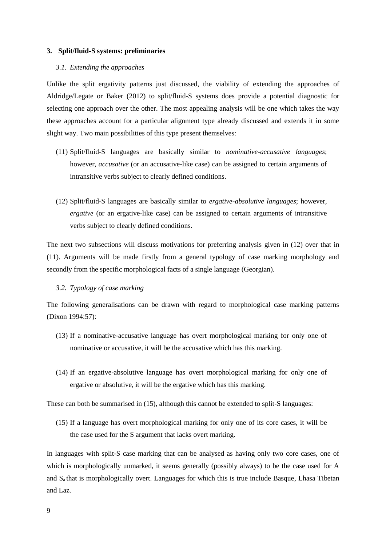#### <span id="page-8-4"></span>**3. Split/fluid-S systems: preliminaries**

## *3.1. Extending the approaches*

Unlike the split ergativity patterns just discussed, the viability of extending the approaches of Aldridge/Legate or Baker (2012) to split/fluid-S systems does provide a potential diagnostic for selecting one approach over the other. The most appealing analysis will be one which takes the way these approaches account for a particular alignment type already discussed and extends it in some slight way. Two main possibilities of this type present themselves:

- <span id="page-8-1"></span>(11) Split/fluid-S languages are basically similar to *nominative-accusative languages*; however, *accusative* (or an accusative-like case) can be assigned to certain arguments of intransitive verbs subject to clearly defined conditions.
- <span id="page-8-0"></span>(12) Split/fluid-S languages are basically similar to *ergative-absolutive languages*; however, *ergative* (or an ergative-like case) can be assigned to certain arguments of intransitive verbs subject to clearly defined conditions.

The next two subsections will discuss motivations for preferring analysis given in [\(12\)](#page-8-0) over that in [\(11\).](#page-8-1) Arguments will be made firstly from a general typology of case marking morphology and secondly from the specific morphological facts of a single language (Georgian).

## <span id="page-8-3"></span>*3.2. Typology of case marking*

The following generalisations can be drawn with regard to morphological case marking patterns (Dixon 1994:57):

- (13) If a nominative-accusative language has overt morphological marking for only one of nominative or accusative, it will be the accusative which has this marking.
- (14) If an ergative-absolutive language has overt morphological marking for only one of ergative or absolutive, it will be the ergative which has this marking.

These can both be summarised in [\(15\),](#page-8-2) although this cannot be extended to split-S languages:

<span id="page-8-2"></span>(15) If a language has overt morphological marking for only one of its core cases, it will be the case used for the S argument that lacks overt marking.

In languages with split-S case marking that can be analysed as having only two core cases, one of which is morphologically unmarked, it seems generally (possibly always) to be the case used for A and S<sub>a</sub> that is morphologically overt. Languages for which this is true include Basque, Lhasa Tibetan and Laz.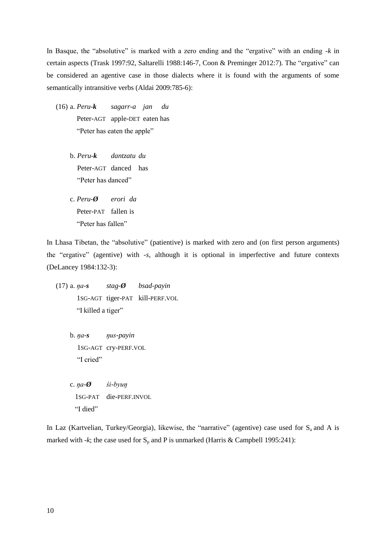In Basque, the "absolutive" is marked with a zero ending and the "ergative" with an ending *-k* in certain aspects (Trask 1997:92, Saltarelli 1988:146-7, Coon & Preminger 2012:7). The "ergative" can be considered an agentive case in those dialects where it is found with the arguments of some semantically intransitive verbs (Aldai 2009:785-6):

- (16) a. *Peru-k sagarr-a jan du* Peter-AGT apple-DET eaten has "Peter has eaten the apple"
	- b. *Peru-k dantzatu du* Peter-AGT danced has "Peter has danced"
	- c. *Peru-Ø erori da* Peter-PAT fallen is "Peter has fallen"

In Lhasa Tibetan, the "absolutive" (patientive) is marked with zero and (on first person arguments) the "ergative" (agentive) with *-s*, although it is optional in imperfective and future contexts (DeLancey 1984:132-3):

- (17) a. *ŋa-s stag-Ø bsad-payin* 1SG-AGT tiger-PAT kill-PERF.VOL "I killed a tiger"
	- b. *ŋa-s ŋ s-payin* b. 1SG-AGT cry-PERF.VOL "I cried"
	- $c. \eta a \phi$  *śi-byun* 1SG-PAT die-PERF.INVOL "I died"

In Laz (Kartvelian, Turkey/Georgia), likewise, the "narrative" (agentive) case used for  $S_a$  and A is marked with *-k*; the case used for  $S_p$  and P is unmarked (Harris & Campbell 1995:241):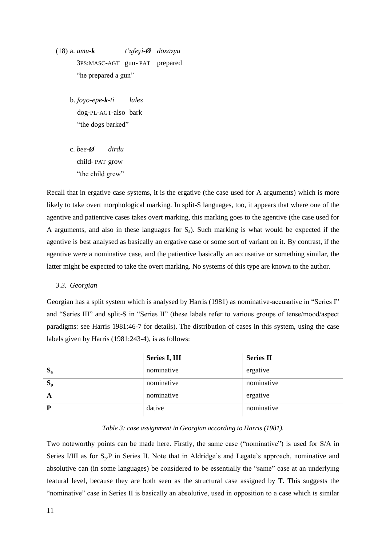$(18)$  a. *amu-k*  $t' \text{ufeyi-}\emptyset$  *doxazyu* a. 3PS:MASC-AGT gun- PAT prepared "he prepared a gun"

- b. *ǰoɣo-epe-k-ti lales* b. dog-PL-AGT-also bark "the dogs barked"
- c. *bee-Ø dirdu* child-PAT grow "the child grew"

Recall that in ergative case systems, it is the ergative (the case used for A arguments) which is more likely to take overt morphological marking. In split-S languages, too, it appears that where one of the agentive and patientive cases takes overt marking, this marking goes to the agentive (the case used for A arguments, and also in these languages for  $S_a$ ). Such marking is what would be expected if the agentive is best analysed as basically an ergative case or some sort of variant on it. By contrast, if the agentive were a nominative case, and the patientive basically an accusative or something similar, the latter might be expected to take the overt marking. No systems of this type are known to the author.

*3.3. Georgian*

Georgian has a split system which is analysed by Harris (1981) as nominative-accusative in "Series I" and "Series III" and split-S in "Series II" (these labels refer to various groups of tense/mood/aspect paradigms: see Harris 1981:46-7 for details). The distribution of cases in this system, using the case labels given by Harris (1981:243-4), is as follows:

|         | Series I, III | <b>Series II</b> |
|---------|---------------|------------------|
| $S_{a}$ | nominative    | ergative         |
| $S_p$   | nominative    | nominative       |
| A       | nominative    | ergative         |
| P       | dative        | nominative       |

## *Table 3: case assignment in Georgian according to Harris (1981).*

Two noteworthy points can be made here. Firstly, the same case ("nominative") is used for S/A in Series I/III as for  $S_p$ P in Series II. Note that in Aldridge's and Legate's approach, nominative and absolutive can (in some languages) be considered to be essentially the "same" case at an underlying featural level, because they are both seen as the structural case assigned by T. This suggests the "nominative" case in Series II is basically an absolutive, used in opposition to a case which is similar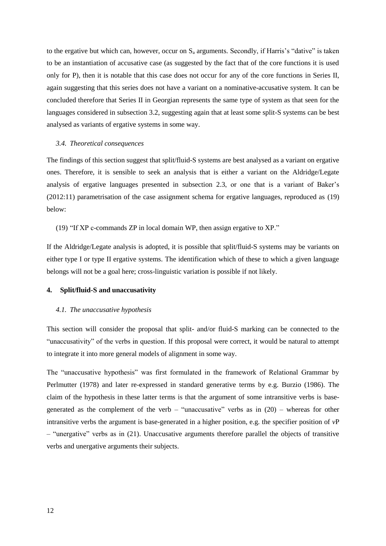to the ergative but which can, however, occur on  $S_a$  arguments. Secondly, if Harris's "dative" is taken to be an instantiation of accusative case (as suggested by the fact that of the core functions it is used only for P), then it is notable that this case does not occur for any of the core functions in Series II, again suggesting that this series does not have a variant on a nominative-accusative system. It can be concluded therefore that Series II in Georgian represents the same type of system as that seen for the languages considered in subsection [3.2,](#page-8-3) suggesting again that at least some split-S systems can be best analysed as variants of ergative systems in some way.

#### *3.4. Theoretical consequences*

The findings of this section suggest that split/fluid-S systems are best analysed as a variant on ergative ones. Therefore, it is sensible to seek an analysis that is either a variant on the Aldridge/Legate analysis of ergative languages presented in subsection [2.3,](#page-5-0) or one that is a variant of Baker's (2012:11) parametrisation of the case assignment schema for ergative languages, reproduced as [\(19\)](#page-11-0) below:

<span id="page-11-0"></span>(19) "If XP c-commands ZP in local domain WP, then assign ergative to XP."

If the Aldridge/Legate analysis is adopted, it is possible that split/fluid-S systems may be variants on either type I or type II ergative systems. The identification which of these to which a given language belongs will not be a goal here; cross-linguistic variation is possible if not likely.

# <span id="page-11-1"></span>**4. Split/fluid-S and unaccusativity**

## *4.1. The unaccusative hypothesis*

This section will consider the proposal that split- and/or fluid-S marking can be connected to the "unaccusativity" of the verbs in question. If this proposal were correct, it would be natural to attempt to integrate it into more general models of alignment in some way.

The "unaccusative hypothesis" was first formulated in the framework of Relational Grammar by Perlmutter (1978) and later re-expressed in standard generative terms by e.g. Burzio (1986). The claim of the hypothesis in these latter terms is that the argument of some intransitive verbs is basegenerated as the complement of the verb – "unaccusative" verbs as in  $(20)$  – whereas for other intransitive verbs the argument is base-generated in a higher position, e.g. the specifier position of *v*P – "unergative" verbs as in [\(21\).](#page-12-1) Unaccusative arguments therefore parallel the objects of transitive verbs and unergative arguments their subjects.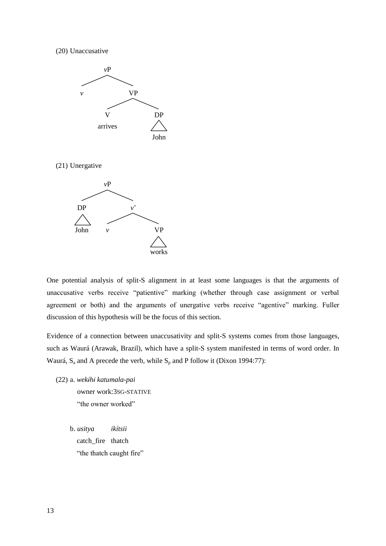<span id="page-12-0"></span>(20) Unaccusative



<span id="page-12-1"></span>(21) Unergative



One potential analysis of split-S alignment in at least some languages is that the arguments of unaccusative verbs receive "patientive" marking (whether through case assignment or verbal agreement or both) and the arguments of unergative verbs receive "agentive" marking. Fuller discussion of this hypothesis will be the focus of this section.

Evidence of a connection between unaccusativity and split-S systems comes from those languages, such as Waurá (Arawak, Brazil), which have a split-S system manifested in terms of word order. In Waurá,  $S_a$  and A precede the verb, while  $S_p$  and P follow it (Dixon 1994:77):

(22) a. *wek hɨ katumala-pai* owner work:3SG-STATIVE "the owner worked"

> b. *usitya ikítsii* catch\_fire thatch "the thatch caught fire"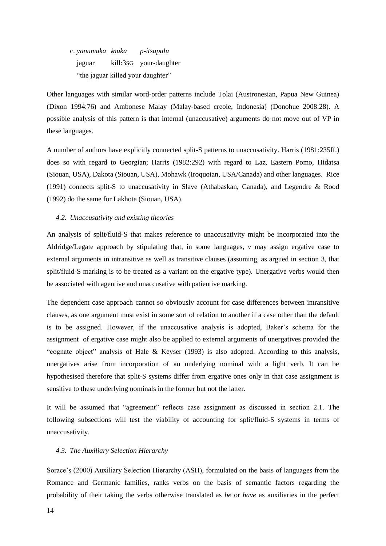c. *yanumaka ɨnuka p-itsupalu* jaguar kill:3sG your-daughter "the jaguar killed your daughter"

Other languages with similar word-order patterns include Tolai (Austronesian, Papua New Guinea) (Dixon 1994:76) and Ambonese Malay (Malay-based creole, Indonesia) (Donohue 2008:28). A possible analysis of this pattern is that internal (unaccusative) arguments do not move out of VP in these languages.

A number of authors have explicitly connected split-S patterns to unaccusativity. Harris (1981:235ff.) does so with regard to Georgian; Harris (1982:292) with regard to Laz, Eastern Pomo, Hidatsa (Siouan, USA), Dakota (Siouan, USA), Mohawk (Iroquoian, USA/Canada) and other languages. Rice (1991) connects split-S to unaccusativity in Slave (Athabaskan, Canada), and Legendre & Rood (1992) do the same for Lakhota (Siouan, USA).

## <span id="page-13-0"></span>*4.2. Unaccusativity and existing theories*

An analysis of split/fluid-S that makes reference to unaccusativity might be incorporated into the Aldridge/Legate approach by stipulating that, in some languages, *v* may assign ergative case to external arguments in intransitive as well as transitive clauses (assuming, as argued in section [3,](#page-8-4) that split/fluid-S marking is to be treated as a variant on the ergative type). Unergative verbs would then be associated with agentive and unaccusative with patientive marking.

The dependent case approach cannot so obviously account for case differences between intransitive clauses, as one argument must exist in some sort of relation to another if a case other than the default is to be assigned. However, if the unaccusative analysis is adopted, Baker's schema for the assignment of ergative case might also be applied to external arguments of unergatives provided the "cognate object" analysis of Hale & Keyser (1993) is also adopted. According to this analysis, unergatives arise from incorporation of an underlying nominal with a light verb. It can be hypothesised therefore that split-S systems differ from ergative ones only in that case assignment is sensitive to these underlying nominals in the former but not the latter.

It will be assumed that "agreement" reflects case assignment as discussed in section 2.1. The following subsections will test the viability of accounting for split/fluid-S systems in terms of unaccusativity.

## *4.3. The Auxiliary Selection Hierarchy*

Sorace's (2000) Auxiliary Selection Hierarchy (ASH), formulated on the basis of languages from the Romance and Germanic families, ranks verbs on the basis of semantic factors regarding the probability of their taking the verbs otherwise translated as *be* or *have* as auxiliaries in the perfect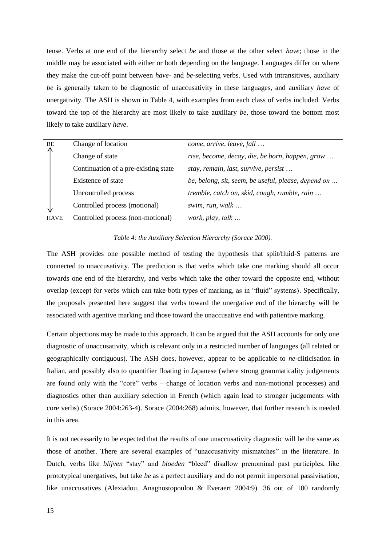tense. Verbs at one end of the hierarchy select *be* and those at the other select *have*; those in the middle may be associated with either or both depending on the language. Languages differ on where they make the cut-off point between *have*- and *be*-selecting verbs. Used with intransitives, auxiliary *be* is generally taken to be diagnostic of unaccusativity in these languages, and auxiliary *have* of unergativity. The ASH is shown in [Table 4,](#page-14-0) with examples from each class of verbs included. Verbs toward the top of the hierarchy are most likely to take auxiliary *be*, those toward the bottom most likely to take auxiliary *have*.

| BE          | Change of location                   | come, arrive, leave, fall                           |
|-------------|--------------------------------------|-----------------------------------------------------|
|             | Change of state                      | rise, become, decay, die, be born, happen, grow     |
|             | Continuation of a pre-existing state | stay, remain, last, survive, persist                |
|             | Existence of state                   | be, belong, sit, seem, be useful, please, depend on |
|             | Uncontrolled process                 | tremble, catch on, skid, cough, rumble, rain        |
|             | Controlled process (motional)        | swim, run, walk $\ldots$                            |
| <b>HAVE</b> | Controlled process (non-motional)    | work, play, talk                                    |
|             |                                      |                                                     |

## *Table 4: the Auxiliary Selection Hierarchy (Sorace 2000).*

<span id="page-14-0"></span>The ASH provides one possible method of testing the hypothesis that split/fluid-S patterns are connected to unaccusativity. The prediction is that verbs which take one marking should all occur towards one end of the hierarchy, and verbs which take the other toward the opposite end, without overlap (except for verbs which can take both types of marking, as in "fluid" systems). Specifically, the proposals presented here suggest that verbs toward the unergative end of the hierarchy will be associated with agentive marking and those toward the unaccusative end with patientive marking.

Certain objections may be made to this approach. It can be argued that the ASH accounts for only one diagnostic of unaccusativity, which is relevant only in a restricted number of languages (all related or geographically contiguous). The ASH does, however, appear to be applicable to *ne*-cliticisation in Italian, and possibly also to quantifier floating in Japanese (where strong grammaticality judgements are found only with the "core" verbs – change of location verbs and non-motional processes) and diagnostics other than auxiliary selection in French (which again lead to stronger judgements with core verbs) (Sorace 2004:263-4). Sorace (2004:268) admits, however, that further research is needed in this area.

It is not necessarily to be expected that the results of one unaccusativity diagnostic will be the same as those of another. There are several examples of "unaccusativity mismatches" in the literature. In Dutch, verbs like *blijven* "stay" and *bloeden* "bleed" disallow prenominal past participles, like prototypical unergatives, but take *be* as a perfect auxiliary and do not permit impersonal passivisation, like unaccusatives (Alexiadou, Anagnostopoulou & Everaert 2004:9). 36 out of 100 randomly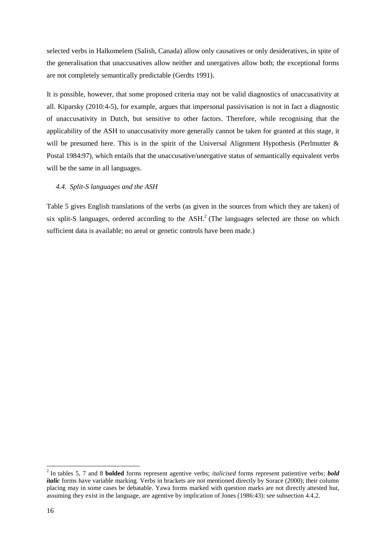selected verbs in Halkomelem (Salish, Canada) allow only causatives or only desideratives, in spite of the generalisation that unaccusatives allow neither and unergatives allow both; the exceptional forms are not completely semantically predictable (Gerdts 1991).

It is possible, however, that some proposed criteria may not be valid diagnostics of unaccusativity at all. Kiparsky (2010:4-5), for example, argues that impersonal passivisation is not in fact a diagnostic of unaccusativity in Dutch, but sensitive to other factors. Therefore, while recognising that the applicability of the ASH to unaccusativity more generally cannot be taken for granted at this stage, it will be presumed here. This is in the spirit of the Universal Alignment Hypothesis (Perlmutter  $\&$ Postal 1984:97), which entails that the unaccusative/unergative status of semantically equivalent verbs will be the same in all languages.

## *4.4. Split-S languages and the ASH*

Table 5 gives English translations of the verbs (as given in the sources from which they are taken) of six split-S languages, ordered according to the  $ASH<sup>2</sup>$  (The languages selected are those on which sufficient data is available; no areal or genetic controls have been made.)

1

<sup>2</sup> In tables 5, 7 and 8 **bolded** forms represent agentive verbs; *italicised* forms represent patientive verbs; *bold italic* forms have variable marking. Verbs in brackets are not mentioned directly by Sorace (2000); their column placing may in some cases be debatable. Yawa forms marked with question marks are not directly attested but, assuming they exist in the language, are agentive by implication of Jones (1986:43): see subsection [4.4.2.](#page-18-0)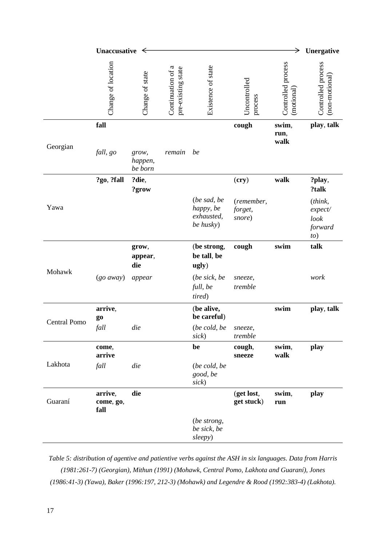|                     | Unaccusative $\leq$          |                             |                                         |                                                     |                                 | →                                | Unergative                                   |
|---------------------|------------------------------|-----------------------------|-----------------------------------------|-----------------------------------------------------|---------------------------------|----------------------------------|----------------------------------------------|
|                     | Change of location           | Change of state             | Continuation of a<br>pre-existing state | Existence of state                                  | Uncontrolled<br>process         | Controlled process<br>(motional) | Controlled process<br>(non-motional)         |
| Georgian            | fall                         |                             |                                         |                                                     | cough                           | swim,<br>run,<br>walk            | play, talk                                   |
|                     | fall, go                     | grow,<br>happen,<br>be born | remain                                  | be                                                  |                                 |                                  |                                              |
|                     | ?go, ?fall                   | ?die,<br>?grow              |                                         |                                                     | (cry)                           | walk                             | ?play,<br>?talk                              |
| Yawa                |                              |                             |                                         | (be sad, be<br>happy, be<br>exhausted,<br>be husky) | (remember,<br>forget,<br>snore) |                                  | (think,<br>expect/<br>look<br>forward<br>to) |
| Mohawk              |                              | grow,<br>appear,<br>die     |                                         | (be strong,<br>be tall, be<br>ugly)                 | cough                           | swim                             | talk                                         |
|                     | $(go\,$ away $)$             | appear                      |                                         | (be sick, be<br>full, be<br>tired)                  | sneeze,<br>tremble              |                                  | work                                         |
| <b>Central Pomo</b> | arrive,<br>g <sub>0</sub>    |                             |                                         | (be alive,<br>be careful)                           |                                 | swim                             | play, talk                                   |
|                     | fall                         | die                         |                                         | (be cold, be<br>sick                                | sneeze,<br>tremble              |                                  |                                              |
|                     | come,<br>arrive              |                             |                                         | be                                                  | cough,<br>sneeze                | swim,<br>walk                    | play                                         |
| Lakhota             | fall                         | die                         |                                         | (be cold, be<br>good, be<br>sick                    |                                 |                                  |                                              |
| Guaraní             | arrive,<br>come, go,<br>fall | die                         |                                         |                                                     | (get lost,<br>get stuck)        | swim,<br>run                     | play                                         |
|                     |                              |                             |                                         | (be strong,<br>be sick, be<br>sleepy)               |                                 |                                  |                                              |

*Table 5: distribution of agentive and patientive verbs against the ASH in six languages. Data from Harris (1981:261-7) (Georgian), Mithun (1991) (Mohawk, Central Pomo, Lakhota and Guaraní), Jones (1986:41-3) (Yawa), Baker (1996:197, 212-3) (Mohawk) and Legendre & Rood (1992:383-4) (Lakhota).*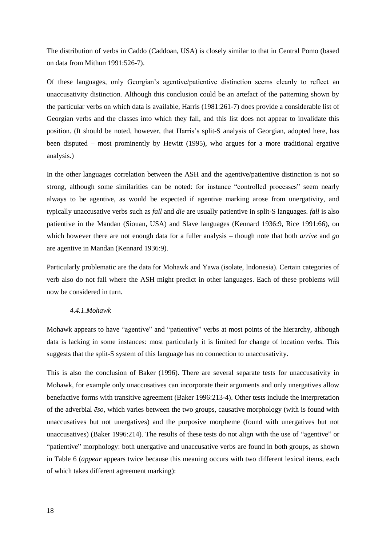The distribution of verbs in Caddo (Caddoan, USA) is closely similar to that in Central Pomo (based on data from Mithun 1991:526-7).

Of these languages, only Georgian's agentive/patientive distinction seems cleanly to reflect an unaccusativity distinction. Although this conclusion could be an artefact of the patterning shown by the particular verbs on which data is available, Harris (1981:261-7) does provide a considerable list of Georgian verbs and the classes into which they fall, and this list does not appear to invalidate this position. (It should be noted, however, that Harris's split-S analysis of Georgian, adopted here, has been disputed – most prominently by Hewitt (1995), who argues for a more traditional ergative analysis.)

In the other languages correlation between the ASH and the agentive/patientive distinction is not so strong, although some similarities can be noted: for instance "controlled processes" seem nearly always to be agentive, as would be expected if agentive marking arose from unergativity, and typically unaccusative verbs such as *fall* and *die* are usually patientive in split-S languages. *fall* is also patientive in the Mandan (Siouan, USA) and Slave languages (Kennard 1936:9, Rice 1991:66), on which however there are not enough data for a fuller analysis – though note that both *arrive* and *go*  are agentive in Mandan (Kennard 1936:9).

Particularly problematic are the data for Mohawk and Yawa (isolate, Indonesia). Certain categories of verb also do not fall where the ASH might predict in other languages. Each of these problems will now be considered in turn.

## *4.4.1.Mohawk*

Mohawk appears to have "agentive" and "patientive" verbs at most points of the hierarchy, although data is lacking in some instances: most particularly it is limited for change of location verbs. This suggests that the split-S system of this language has no connection to unaccusativity.

This is also the conclusion of Baker (1996). There are several separate tests for unaccusativity in Mohawk, for example only unaccusatives can incorporate their arguments and only unergatives allow benefactive forms with transitive agreement (Baker 1996:213-4). Other tests include the interpretation of the adverbial *ēso*, which varies between the two groups, causative morphology (with is found with unaccusatives but not unergatives) and the purposive morpheme (found with unergatives but not unaccusatives) (Baker 1996:214). The results of these tests do not align with the use of "agentive" or "patientive" morphology: both unergative and unaccusative verbs are found in both groups, as shown in [Table 6](#page-18-1) (*appear* appears twice because this meaning occurs with two different lexical items, each of which takes different agreement marking):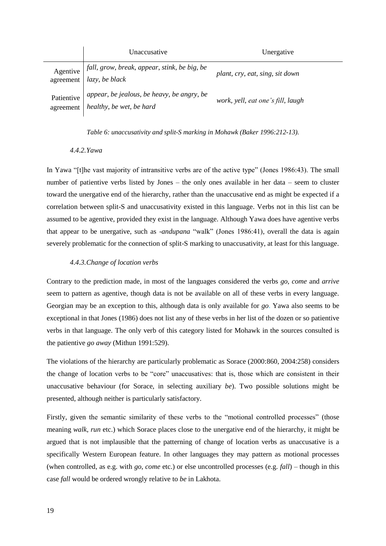|                         | Unaccusative                                                           | Unergative                        |
|-------------------------|------------------------------------------------------------------------|-----------------------------------|
| Agentive<br>agreement   | fall, grow, break, appear, stink, be big, be<br><i>lazy, be black</i>  | plant, cry, eat, sing, sit down   |
| Patientive<br>agreement | appear, be jealous, be heavy, be angry, be<br>healthy, be wet, be hard | work, yell, eat one's fill, laugh |

*Table 6: unaccusativity and split-S marking in Mohawk (Baker 1996:212-13).*

## <span id="page-18-1"></span>*4.4.2.Yawa*

<span id="page-18-0"></span>In Yawa "[t]he vast majority of intransitive verbs are of the active type" (Jones 1986:43). The small number of patientive verbs listed by Jones – the only ones available in her data – seem to cluster toward the unergative end of the hierarchy, rather than the unaccusative end as might be expected if a correlation between split-S and unaccusativity existed in this language. Verbs not in this list can be assumed to be agentive, provided they exist in the language. Although Yawa does have agentive verbs that appear to be unergative, such as -*andupana* "walk" (Jones 1986:41), overall the data is again severely problematic for the connection of split-S marking to unaccusativity, at least for this language.

# *4.4.3.Change of location verbs*

Contrary to the prediction made, in most of the languages considered the verbs *go*, *come* and *arrive* seem to pattern as agentive, though data is not be available on all of these verbs in every language. Georgian may be an exception to this, although data is only available for *go*. Yawa also seems to be exceptional in that Jones (1986) does not list any of these verbs in her list of the dozen or so patientive verbs in that language. The only verb of this category listed for Mohawk in the sources consulted is the patientive *go away* (Mithun 1991:529).

The violations of the hierarchy are particularly problematic as Sorace (2000:860, 2004:258) considers the change of location verbs to be "core" unaccusatives: that is, those which are consistent in their unaccusative behaviour (for Sorace, in selecting auxiliary *be*). Two possible solutions might be presented, although neither is particularly satisfactory.

Firstly, given the semantic similarity of these verbs to the "motional controlled processes" (those meaning *walk*, *run* etc.) which Sorace places close to the unergative end of the hierarchy, it might be argued that is not implausible that the patterning of change of location verbs as unaccusative is a specifically Western European feature. In other languages they may pattern as motional processes (when controlled, as e.g. with *go*, *come* etc.) or else uncontrolled processes (e.g. *fall*) – though in this case *fall* would be ordered wrongly relative to *be* in Lakhota.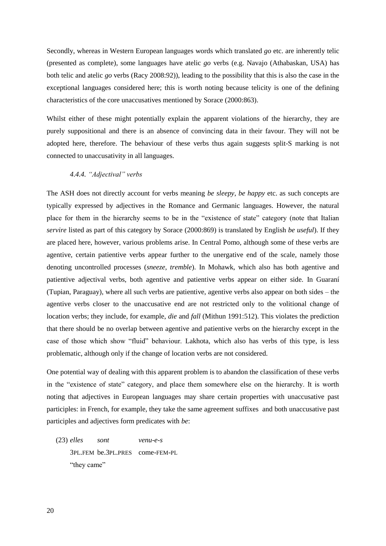Secondly, whereas in Western European languages words which translated *go* etc. are inherently telic (presented as complete), some languages have atelic *go* verbs (e.g. Navajo (Athabaskan, USA) has both telic and atelic *go* verbs (Racy 2008:92)), leading to the possibility that this is also the case in the exceptional languages considered here; this is worth noting because telicity is one of the defining characteristics of the core unaccusatives mentioned by Sorace (2000:863).

Whilst either of these might potentially explain the apparent violations of the hierarchy, they are purely suppositional and there is an absence of convincing data in their favour. They will not be adopted here, therefore. The behaviour of these verbs thus again suggests split-S marking is not connected to unaccusativity in all languages.

## 4.4.4. "Adjectival" verbs

The ASH does not directly account for verbs meaning *be sleepy*, *be happy* etc. as such concepts are typically expressed by adjectives in the Romance and Germanic languages. However, the natural place for them in the hierarchy seems to be in the "existence of state" category (note that Italian *servire* listed as part of this category by Sorace (2000:869) is translated by English *be useful*). If they are placed here, however, various problems arise. In Central Pomo, although some of these verbs are agentive, certain patientive verbs appear further to the unergative end of the scale, namely those denoting uncontrolled processes (*sneeze*, *tremble*). In Mohawk, which also has both agentive and patientive adjectival verbs, both agentive and patientive verbs appear on either side. In Guaraní (Tupian, Paraguay), where all such verbs are patientive, agentive verbs also appear on both sides – the agentive verbs closer to the unaccusative end are not restricted only to the volitional change of location verbs; they include, for example, *die* and *fall* (Mithun 1991:512). This violates the prediction that there should be no overlap between agentive and patientive verbs on the hierarchy except in the case of those which show "fluid" behaviour. Lakhota, which also has verbs of this type, is less problematic, although only if the change of location verbs are not considered.

One potential way of dealing with this apparent problem is to abandon the classification of these verbs in the "existence of state" category, and place them somewhere else on the hierarchy. It is worth noting that adjectives in European languages may share certain properties with unaccusative past participles: in French, for example, they take the same agreement suffixes and both unaccusative past participles and adjectives form predicates with *be*:

(23) *elles sont venu-e-s* 3PL.FEM be.3PL.PRES come-FEM-PL "they came"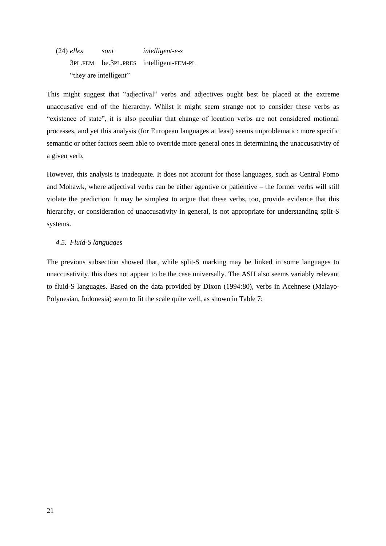(24) *elles sont intelligent-e-s* 3PL.FEM be.3PL.PRES intelligent-FEM-PL "they are intelligent"

This might suggest that "adjectival" verbs and adjectives ought best be placed at the extreme unaccusative end of the hierarchy. Whilst it might seem strange not to consider these verbs as "existence of state", it is also peculiar that change of location verbs are not considered motional processes, and yet this analysis (for European languages at least) seems unproblematic: more specific semantic or other factors seem able to override more general ones in determining the unaccusativity of a given verb.

However, this analysis is inadequate. It does not account for those languages, such as Central Pomo and Mohawk, where adjectival verbs can be either agentive or patientive – the former verbs will still violate the prediction. It may be simplest to argue that these verbs, too, provide evidence that this hierarchy, or consideration of unaccusativity in general, is not appropriate for understanding split-S systems.

## *4.5. Fluid-S languages*

The previous subsection showed that, while split-S marking may be linked in some languages to unaccusativity, this does not appear to be the case universally. The ASH also seems variably relevant to fluid-S languages. Based on the data provided by Dixon (1994:80), verbs in Acehnese (Malayo-Polynesian, Indonesia) seem to fit the scale quite well, as shown in [Table 7:](#page-21-0)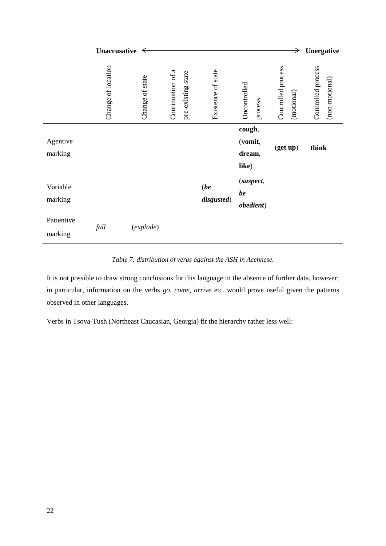|                       | Unaccusative $\leftarrow$ |                 |                   |                    |                    |                                      | →                                | Unergative                           |
|-----------------------|---------------------------|-----------------|-------------------|--------------------|--------------------|--------------------------------------|----------------------------------|--------------------------------------|
|                       | Change of location        | Change of state | Continuation of a | pre-existing state | Existence of state | Uncontrolled<br>process              | Controlled process<br>(motional) | Controlled process<br>(non-motional) |
| Agentive<br>marking   |                           |                 |                   |                    |                    | cough,<br>(vomit,<br>dream,<br>like) | (get up)                         | think                                |
| Variable<br>marking   |                           |                 |                   |                    | (be)<br>disgusted) | (suspect,<br>be<br>obedient)         |                                  |                                      |
| Patientive<br>marking | fall                      | (explode)       |                   |                    |                    |                                      |                                  |                                      |

*Table 7: distribution of verbs against the ASH in Acehnese.*

<span id="page-21-0"></span>It is not possible to draw strong conclusions for this language in the absence of further data, however; in particular, information on the verbs *go*, *come*, *arrive* etc. would prove useful given the patterns observed in other languages.

Verbs in Tsova-Tush (Northeast Caucasian, Georgia) fit the hierarchy rather less well: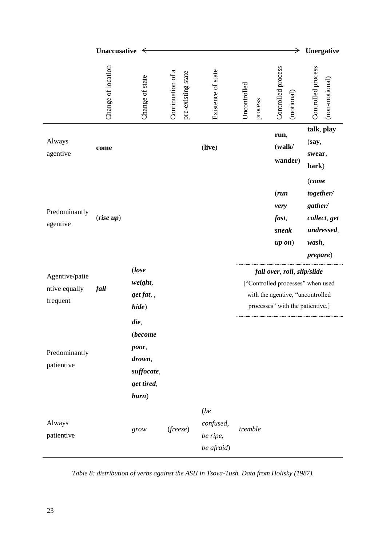|                                             | Unaccusative $\leq$ |                                                                                |                   |                    |                                             |                         | →                                                                                                                                        | Unergative                                                                      |
|---------------------------------------------|---------------------|--------------------------------------------------------------------------------|-------------------|--------------------|---------------------------------------------|-------------------------|------------------------------------------------------------------------------------------------------------------------------------------|---------------------------------------------------------------------------------|
|                                             | Change of location  | Change of state                                                                | Continuation of a | pre-existing state | Existence of state                          | Uncontrolled<br>process | Controlled process<br>(motional)                                                                                                         | Controlled process<br>$(non-motional)$                                          |
| Always<br>agentive                          | come                |                                                                                |                   |                    | (live)                                      |                         | run,<br>(walk/<br>wander)                                                                                                                | talk, play<br>(say,<br>swear,<br>bark)<br>(come                                 |
| Predominantly<br>agentive                   | (rise up)           |                                                                                |                   |                    |                                             |                         | (run)<br>very<br>fast,<br>sneak<br>$up\ on)$                                                                                             | together/<br>gather/<br>collect, get<br>undressed,<br>wash,<br><i>prepare</i> ) |
| Agentive/patie<br>ntive equally<br>frequent | fall                | (lose<br>weight,<br>get fat,,<br>hide)                                         |                   |                    |                                             |                         | fall over, roll, slip/slide<br>["Controlled processes" when used<br>with the agentive, "uncontrolled<br>processes" with the patientive.] |                                                                                 |
| Predominantly<br>patientive                 |                     | die,<br><i>(become</i><br>poor,<br>drown,<br>suffocate,<br>get tired,<br>burn) |                   |                    |                                             |                         |                                                                                                                                          |                                                                                 |
| Always<br>patientive                        |                     | grow                                                                           | (freeze)          |                    | (be)<br>confused,<br>be ripe,<br>be afraid) | tremble                 |                                                                                                                                          |                                                                                 |

*Table 8: distribution of verbs against the ASH in Tsova-Tush. Data from Holisky (1987).*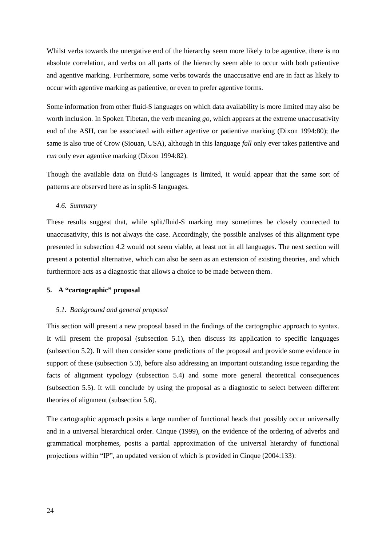Whilst verbs towards the unergative end of the hierarchy seem more likely to be agentive, there is no absolute correlation, and verbs on all parts of the hierarchy seem able to occur with both patientive and agentive marking. Furthermore, some verbs towards the unaccusative end are in fact as likely to occur with agentive marking as patientive, or even to prefer agentive forms.

Some information from other fluid-S languages on which data availability is more limited may also be worth inclusion. In Spoken Tibetan, the verb meaning *go*, which appears at the extreme unaccusativity end of the ASH, can be associated with either agentive or patientive marking (Dixon 1994:80); the same is also true of Crow (Siouan, USA), although in this language *fall* only ever takes patientive and *run* only ever agentive marking (Dixon 1994:82).

Though the available data on fluid-S languages is limited, it would appear that the same sort of patterns are observed here as in split-S languages.

## *4.6. Summary*

These results suggest that, while split/fluid-S marking may sometimes be closely connected to unaccusativity, this is not always the case. Accordingly, the possible analyses of this alignment type presented in subsection [4.2](#page-13-0) would not seem viable, at least not in all languages. The next section will present a potential alternative, which can also be seen as an extension of existing theories, and which furthermore acts as a diagnostic that allows a choice to be made between them.

## <span id="page-23-1"></span>**5. A "cartographic" proposal**

## <span id="page-23-0"></span>*5.1. Background and general proposal*

This section will present a new proposal based in the findings of the cartographic approach to syntax. It will present the proposal (subsection [5.1\)](#page-23-0), then discuss its application to specific languages (subsection 5.2). It will then consider some predictions of the proposal and provide some evidence in support of these (subsection [5.3\)](#page-30-0), before also addressing an important outstanding issue regarding the facts of alignment typology (subsection 5.4) and some more general theoretical consequences (subsection [5.5\)](#page-32-0). It will conclude by using the proposal as a diagnostic to select between different theories of alignment (subsection [5.6\)](#page-33-0).

The cartographic approach posits a large number of functional heads that possibly occur universally and in a universal hierarchical order. Cinque (1999), on the evidence of the ordering of adverbs and grammatical morphemes, posits a partial approximation of the universal hierarchy of functional projections within "IP", an updated version of which is provided in Cinque (2004:133):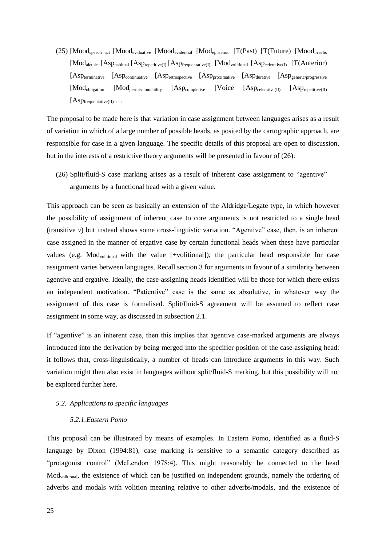(25) [Moodspeech act [Moodevaluative [Moodevidential [Modepistemic [T(Past) [T(Future) [Moodirrealis [Mod<sub>alethic</sub> [Asp<sub>habitual</sub> [Asp<sub>repetitive(I)</sub> [Asp<sub>frequentative(I)</sub> [Mod<sub>volitional</sub> [Asp<sub>celerative(I)</sub> [T(Anterior) [Asp<sub>terminative</sub> [Asp<sub>continuative</sub> [Asp<sub>retrospective</sub> [Asp<sub>proximative</sub> [Asp<sub>durative</sub> [Asp<sub>generic/progressive</sub>  $\text{[Mod}_{\text{oblication}}$   $\text{[Mod}_{\text{permission/ability}}$   $\text{[Asp}_{\text{complete}}$   $\text{[Voice}$   $\text{[Asp}_{\text{selectative(II)}}$   $\text{[Asp}_{\text{repetitive(II)}}$  $[Asp_{\text{frequentative(II)}} \dots]$ 

The proposal to be made here is that variation in case assignment between languages arises as a result of variation in which of a large number of possible heads, as posited by the cartographic approach, are responsible for case in a given language. The specific details of this proposal are open to discussion, but in the interests of a restrictive theory arguments will be presented in favour of [\(26\):](#page-24-0)

<span id="page-24-0"></span>(26) Split/fluid-S case marking arises as a result of inherent case assignment to "agentive" arguments by a functional head with a given value.

This approach can be seen as basically an extension of the Aldridge/Legate type, in which however the possibility of assignment of inherent case to core arguments is not restricted to a single head (transitive *v*) but instead shows some cross-linguistic variation. "Agentive" case, then, is an inherent case assigned in the manner of ergative case by certain functional heads when these have particular values (e.g. Mod<sub>volitional</sub> with the value [+volitional]); the particular head responsible for case assignment varies between languages. Recall section [3](#page-8-4) for arguments in favour of a similarity between agentive and ergative. Ideally, the case-assigning heads identified will be those for which there exists an independent motivation. "Patientive" case is the same as absolutive, in whatever way the assignment of this case is formalised. Split/fluid-S agreement will be assumed to reflect case assignment in some way, as discussed in subsection [2.1.](#page-3-0)

If "agentive" is an inherent case, then this implies that agentive case-marked arguments are always introduced into the derivation by being merged into the specifier position of the case-assigning head: it follows that, cross-linguistically, a number of heads can introduce arguments in this way. Such variation might then also exist in languages without split/fluid-S marking, but this possibility will not be explored further here.

#### *5.2. Applications to specific languages*

## *5.2.1.Eastern Pomo*

This proposal can be illustrated by means of examples. In Eastern Pomo, identified as a fluid-S language by Dixon (1994:81), case marking is sensitive to a semantic category described as "protagonist control" (McLendon 1978:4). This might reasonably be connected to the head Modvolitional, the existence of which can be justified on independent grounds, namely the ordering of adverbs and modals with volition meaning relative to other adverbs/modals, and the existence of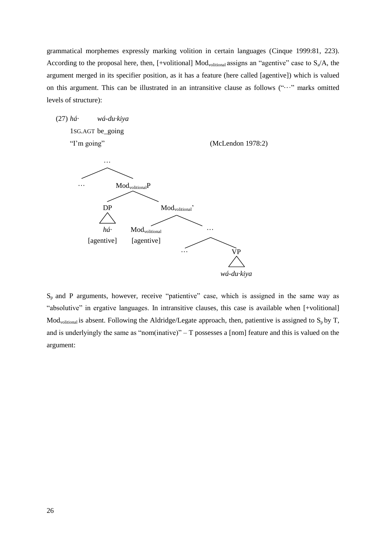grammatical morphemes expressly marking volition in certain languages (Cinque 1999:81, 223). According to the proposal here, then, [+volitional] Mod<sub>volitional</sub> assigns an "agentive" case to  $S_a/A$ , the argument merged in its specifier position, as it has a feature (here called [agentive]) which is valued on this argument. This can be illustrated in an intransitive clause as follows ("···" marks omitted levels of structure):

(27) *há· wá-du·kiya* 1SG.AGT be\_going

"I'm going" (McLendon 1978:2)



 $S_p$  and P arguments, however, receive "patientive" case, which is assigned in the same way as "absolutive" in ergative languages. In intransitive clauses, this case is available when [+volitional]  $Mod_{\text{volitional}}$  is absent. Following the Aldridge/Legate approach, then, patientive is assigned to  $S_p$  by T, and is underlyingly the same as "nom(inative)" – T possesses a [nom] feature and this is valued on the argument: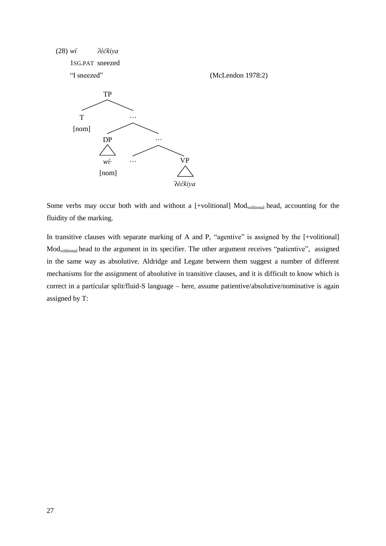

Some verbs may occur both with and without a [+volitional] Mod<sub>volitional</sub> head, accounting for the fluidity of the marking.

In transitive clauses with separate marking of A and P, "agentive" is assigned by the [+volitional] Modvolitional head to the argument in its specifier. The other argument receives "patientive", assigned in the same way as absolutive. Aldridge and Legate between them suggest a number of different mechanisms for the assignment of absolutive in transitive clauses, and it is difficult to know which is correct in a particular split/fluid-S language – here, assume patientive/absolutive/nominative is again assigned by T: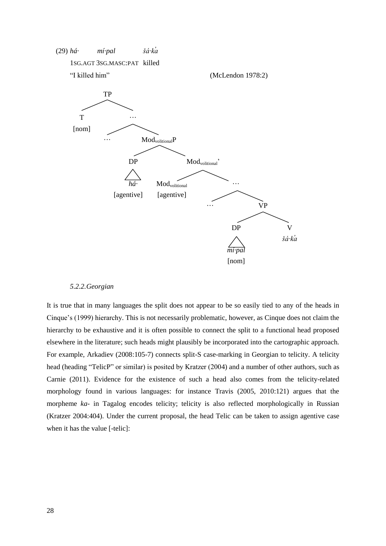

#### *5.2.2.Georgian*

It is true that in many languages the split does not appear to be so easily tied to any of the heads in Cinque's (1999) hierarchy. This is not necessarily problematic, however, as Cinque does not claim the hierarchy to be exhaustive and it is often possible to connect the split to a functional head proposed elsewhere in the literature; such heads might plausibly be incorporated into the cartographic approach. For example, Arkadiev (2008:105-7) connects split-S case-marking in Georgian to telicity. A telicity head (heading "TelicP" or similar) is posited by Kratzer (2004) and a number of other authors, such as Carnie (2011). Evidence for the existence of such a head also comes from the telicity-related morphology found in various languages: for instance Travis (2005, 2010:121) argues that the morpheme *ka-* in Tagalog encodes telicity; telicity is also reflected morphologically in Russian (Kratzer 2004:404). Under the current proposal, the head Telic can be taken to assign agentive case when it has the value [-telic]: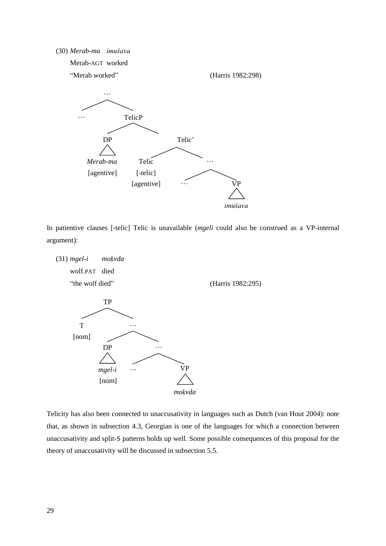(30) Merab-ma imušava



In patientive clauses [-telic] Telic is unavailable (*mgeli* could also be construed as a VP-internal argument):



Telicity has also been connected to unaccusativity in languages such as Dutch (van Hout 2004): note that, as shown in subsection 4.3, Georgian is one of the languages for which a connection between unaccusativity and split-S patterns holds up well. Some possible consequences of this proposal for the theory of unaccusativity will be discussed in subsection [5.5.](#page-32-0)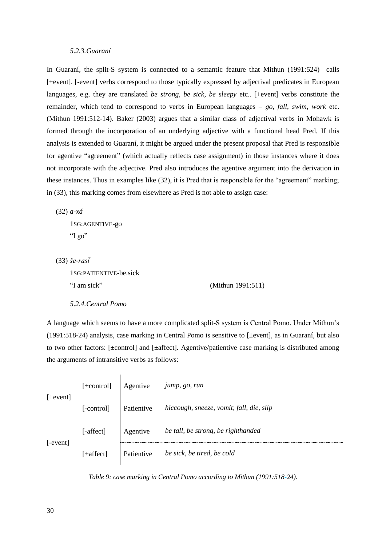## *5.2.3.Guaraní*

In Guaraní, the split-S system is connected to a semantic feature that Mithun (1991:524) calls [ $\pm$ event]. [-event] verbs correspond to those typically expressed by adjectival predicates in European languages, e.g. they are translated *be strong*, *be sick*, *be sleepy* etc.. [+event] verbs constitute the remainder, which tend to correspond to verbs in European languages – *go*, *fall*, *swim*, *work* etc. (Mithun 1991:512-14). Baker (2003) argues that a similar class of adjectival verbs in Mohawk is formed through the incorporation of an underlying adjective with a functional head Pred. If this analysis is extended to Guaraní, it might be argued under the present proposal that Pred is responsible for agentive "agreement" (which actually reflects case assignment) in those instances where it does not incorporate with the adjective. Pred also introduces the agentive argument into the derivation in these instances. Thus in examples like [\(32\),](#page-29-0) it is Pred that is responsible for the "agreement" marking; in [\(33\),](#page-29-1) this marking comes from elsewhere as Pred is not able to assign case:

<span id="page-29-0"></span>(32) *a-xá*

1SG:AGENTIVE-go "I go"

<span id="page-29-1"></span> $(33)$  *še-rasi* 

1SG:PATIENTIVE-be.sick "I am sick"  $(Mithun 1991:511)$ 

 $\overline{\phantom{a}}$ 

#### *5.2.4.Central Pomo*

A language which seems to have a more complicated split-S system is Central Pomo. Under Mithun's (1991:518-24) analysis, case marking in Central Pomo is sensitive to [±event], as in Guaraní, but also to two other factors: [±control] and [±affect]. Agentive/patientive case marking is distributed among the arguments of intransitive verbs as follows:

|            | [+control]  | Agentive   | jump, go, run                            |
|------------|-------------|------------|------------------------------------------|
| $[+event]$ | [-control]  | Patientive | hiccough, sneeze, vomit; fall, die, slip |
|            | [-affect]   | Agentive   | be tall, be strong, be righthanded       |
| [-event]   | $[+affect]$ | Patientive | be sick, be tired, be cold               |

*Table 9: case marking in Central Pomo according to Mithun (1991:518-24).*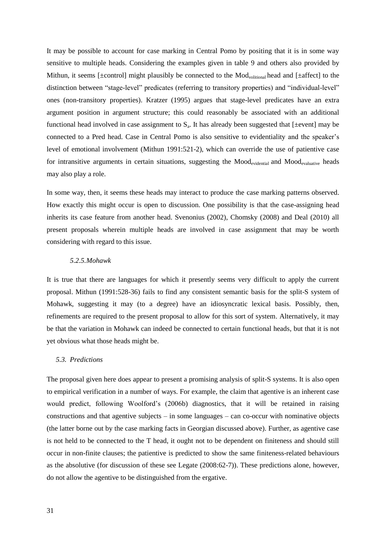It may be possible to account for case marking in Central Pomo by positing that it is in some way sensitive to multiple heads. Considering the examples given in table 9 and others also provided by Mithun, it seems [ $\pm$ control] might plausibly be connected to the Mod<sub>volitional</sub> head and [ $\pm$ affect] to the distinction between "stage-level" predicates (referring to transitory properties) and "individual-level" ones (non-transitory properties). Kratzer (1995) argues that stage-level predicates have an extra argument position in argument structure; this could reasonably be associated with an additional functional head involved in case assignment to  $S<sub>a</sub>$ . It has already been suggested that [ $\pm$ event] may be connected to a Pred head. Case in Central Pomo is also sensitive to evidentiality and the speaker's level of emotional involvement (Mithun 1991:521-2), which can override the use of patientive case for intransitive arguments in certain situations, suggesting the Moodevidential and Moodevaluative heads may also play a role.

In some way, then, it seems these heads may interact to produce the case marking patterns observed. How exactly this might occur is open to discussion. One possibility is that the case-assigning head inherits its case feature from another head. Svenonius (2002), Chomsky (2008) and Deal (2010) all present proposals wherein multiple heads are involved in case assignment that may be worth considering with regard to this issue.

## *5.2.5.Mohawk*

It is true that there are languages for which it presently seems very difficult to apply the current proposal. Mithun (1991:528-36) fails to find any consistent semantic basis for the split-S system of Mohawk, suggesting it may (to a degree) have an idiosyncratic lexical basis. Possibly, then, refinements are required to the present proposal to allow for this sort of system. Alternatively, it may be that the variation in Mohawk can indeed be connected to certain functional heads, but that it is not yet obvious what those heads might be.

## <span id="page-30-0"></span>*5.3. Predictions*

The proposal given here does appear to present a promising analysis of split-S systems. It is also open to empirical verification in a number of ways. For example, the claim that agentive is an inherent case would predict, following Woolford's (2006b) diagnostics, that it will be retained in raising constructions and that agentive subjects – in some languages – can co-occur with nominative objects (the latter borne out by the case marking facts in Georgian discussed above). Further, as agentive case is not held to be connected to the T head, it ought not to be dependent on finiteness and should still occur in non-finite clauses; the patientive is predicted to show the same finiteness-related behaviours as the absolutive (for discussion of these see Legate (2008:62-7)). These predictions alone, however, do not allow the agentive to be distinguished from the ergative.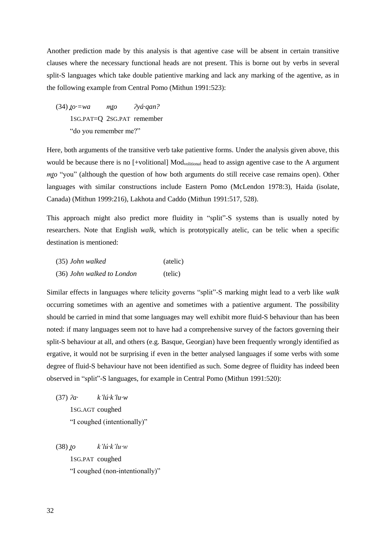Another prediction made by this analysis is that agentive case will be absent in certain transitive clauses where the necessary functional heads are not present. This is borne out by verbs in several split-S languages which take double patientive marking and lack any marking of the agentive, as in the following example from Central Pomo (Mithun 1991:523):

 $(34)$   $\underline{to} = wa$  *m* $\underline{to}$   $\gamma \acute{a} \cdot \text{q}$ *an*? 1SG.PAT=Q 2SG.PAT remember "do you remember me?"

Here, both arguments of the transitive verb take patientive forms. Under the analysis given above, this would be because there is no [+volitional] Mod<sub>volitional</sub> head to assign agentive case to the A argument *mto* "you" (although the question of how both arguments do still receive case remains open). Other languages with similar constructions include Eastern Pomo (McLendon 1978:3), Haida (isolate, Canada) (Mithun 1999:216), Lakhota and Caddo (Mithun 1991:517, 528).

This approach might also predict more fluidity in "split"-S systems than is usually noted by researchers. Note that English *walk*, which is prototypically atelic, can be telic when a specific destination is mentioned:

| (35) John walked           | (atelic) |  |  |
|----------------------------|----------|--|--|
| (36) John walked to London | (telic)  |  |  |

Similar effects in languages where telicity governs "split"-S marking might lead to a verb like *walk*  occurring sometimes with an agentive and sometimes with a patientive argument. The possibility should be carried in mind that some languages may well exhibit more fluid-S behaviour than has been noted: if many languages seem not to have had a comprehensive survey of the factors governing their split-S behaviour at all, and others (e.g. Basque, Georgian) have been frequently wrongly identified as ergative, it would not be surprising if even in the better analysed languages if some verbs with some degree of fluid-S behaviour have not been identified as such. Some degree of fluidity has indeed been observed in "split"-S languages, for example in Central Pomo (Mithun 1991:520):

(37) *ʔa· k'lú·k'lu·w* 1SG.AGT coughed "I coughed (intentionally)"

 $(38)$  *to*  $k'l'u'k'l'u'w$ 1SG.PAT coughed "I coughed (non-intentionally)"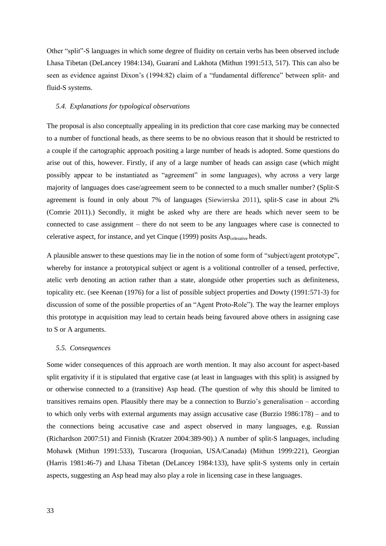Other "split"-S languages in which some degree of fluidity on certain verbs has been observed include Lhasa Tibetan (DeLancey 1984:134), Guaraní and Lakhota (Mithun 1991:513, 517). This can also be seen as evidence against Dixon's (1994:82) claim of a "fundamental difference" between split- and fluid-S systems.

#### *5.4. Explanations for typological observations*

The proposal is also conceptually appealing in its prediction that core case marking may be connected to a number of functional heads, as there seems to be no obvious reason that it should be restricted to a couple if the cartographic approach positing a large number of heads is adopted. Some questions do arise out of this, however. Firstly, if any of a large number of heads can assign case (which might possibly appear to be instantiated as "agreement" in some languages), why across a very large majority of languages does case/agreement seem to be connected to a much smaller number? (Split-S agreement is found in only about 7% of languages (Siewierska 2011), split-S case in about 2% (Comrie 2011).) Secondly, it might be asked why are there are heads which never seem to be connected to case assignment – there do not seem to be any languages where case is connected to celerative aspect, for instance, and yet Cinque (1999) posits Asp<sub>celerative</sub> heads.

A plausible answer to these questions may lie in the notion of some form of "subject/agent prototype", whereby for instance a prototypical subject or agent is a volitional controller of a tensed, perfective, atelic verb denoting an action rather than a state, alongside other properties such as definiteness, topicality etc. (see Keenan (1976) for a list of possible subject properties and Dowty (1991:571-3) for discussion of some of the possible properties of an "Agent Proto-Role"). The way the learner employs this prototype in acquisition may lead to certain heads being favoured above others in assigning case to S or A arguments.

#### <span id="page-32-0"></span>*5.5. Consequences*

Some wider consequences of this approach are worth mention. It may also account for aspect-based split ergativity if it is stipulated that ergative case (at least in languages with this split) is assigned by or otherwise connected to a (transitive) Asp head. (The question of why this should be limited to transitives remains open. Plausibly there may be a connection to Burzio's generalisation – according to which only verbs with external arguments may assign accusative case (Burzio 1986:178) – and to the connections being accusative case and aspect observed in many languages, e.g. Russian (Richardson 2007:51) and Finnish (Kratzer 2004:389-90).) A number of split-S languages, including Mohawk (Mithun 1991:533), Tuscarora (Iroquoian, USA/Canada) (Mithun 1999:221), Georgian (Harris 1981:46-7) and Lhasa Tibetan (DeLancey 1984:133), have split-S systems only in certain aspects, suggesting an Asp head may also play a role in licensing case in these languages.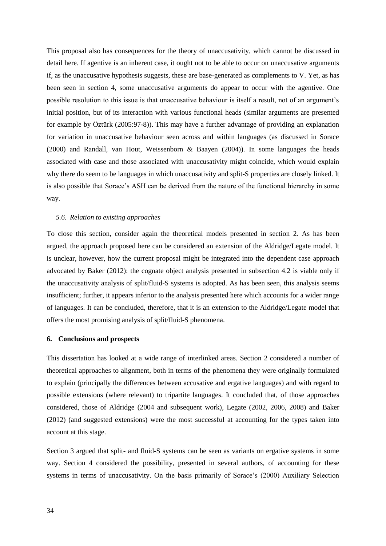This proposal also has consequences for the theory of unaccusativity, which cannot be discussed in detail here. If agentive is an inherent case, it ought not to be able to occur on unaccusative arguments if, as the unaccusative hypothesis suggests, these are base-generated as complements to V. Yet, as has been seen in section 4, some unaccusative arguments do appear to occur with the agentive. One possible resolution to this issue is that unaccusative behaviour is itself a result, not of an argument's initial position, but of its interaction with various functional heads (similar arguments are presented for example by Öztürk (2005:97-8)). This may have a further advantage of providing an explanation for variation in unaccusative behaviour seen across and within languages (as discussed in Sorace (2000) and Randall, van Hout, Weissenborn & Baayen (2004)). In some languages the heads associated with case and those associated with unaccusativity might coincide, which would explain why there do seem to be languages in which unaccusativity and split-S properties are closely linked. It is also possible that Sorace's ASH can be derived from the nature of the functional hierarchy in some way.

#### <span id="page-33-0"></span>*5.6. Relation to existing approaches*

To close this section, consider again the theoretical models presented in section [2.](#page-3-1) As has been argued, the approach proposed here can be considered an extension of the Aldridge/Legate model. It is unclear, however, how the current proposal might be integrated into the dependent case approach advocated by Baker (2012): the cognate object analysis presented in subsection [4.2](#page-13-0) is viable only if the unaccusativity analysis of split/fluid-S systems is adopted. As has been seen, this analysis seems insufficient; further, it appears inferior to the analysis presented here which accounts for a wider range of languages. It can be concluded, therefore, that it is an extension to the Aldridge/Legate model that offers the most promising analysis of split/fluid-S phenomena.

## **6. Conclusions and prospects**

This dissertation has looked at a wide range of interlinked areas. Section [2](#page-3-1) considered a number of theoretical approaches to alignment, both in terms of the phenomena they were originally formulated to explain (principally the differences between accusative and ergative languages) and with regard to possible extensions (where relevant) to tripartite languages. It concluded that, of those approaches considered, those of Aldridge (2004 and subsequent work), Legate (2002, 2006, 2008) and Baker (2012) (and suggested extensions) were the most successful at accounting for the types taken into account at this stage.

Section 3 argued that split- and fluid-S systems can be seen as variants on ergative systems in some way. Section [4](#page-11-1) considered the possibility, presented in several authors, of accounting for these systems in terms of unaccusativity. On the basis primarily of Sorace's (2000) Auxiliary Selection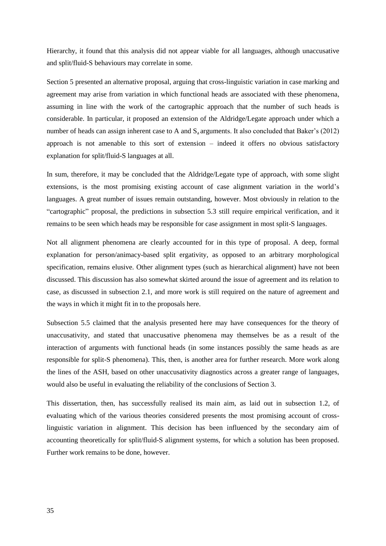Hierarchy, it found that this analysis did not appear viable for all languages, although unaccusative and split/fluid-S behaviours may correlate in some.

Section [5](#page-23-1) presented an alternative proposal, arguing that cross-linguistic variation in case marking and agreement may arise from variation in which functional heads are associated with these phenomena, assuming in line with the work of the cartographic approach that the number of such heads is considerable. In particular, it proposed an extension of the Aldridge/Legate approach under which a number of heads can assign inherent case to A and  $S_a$  arguments. It also concluded that Baker's (2012) approach is not amenable to this sort of extension – indeed it offers no obvious satisfactory explanation for split/fluid-S languages at all.

In sum, therefore, it may be concluded that the Aldridge/Legate type of approach, with some slight extensions, is the most promising existing account of case alignment variation in the world's languages. A great number of issues remain outstanding, however. Most obviously in relation to the "cartographic" proposal, the predictions in subsection [5.3](#page-30-0) still require empirical verification, and it remains to be seen which heads may be responsible for case assignment in most split-S languages.

Not all alignment phenomena are clearly accounted for in this type of proposal. A deep, formal explanation for person/animacy-based split ergativity, as opposed to an arbitrary morphological specification, remains elusive. Other alignment types (such as hierarchical alignment) have not been discussed. This discussion has also somewhat skirted around the issue of agreement and its relation to case, as discussed in subsection [2.1,](#page-3-0) and more work is still required on the nature of agreement and the ways in which it might fit in to the proposals here.

Subsection [5.5](#page-32-0) claimed that the analysis presented here may have consequences for the theory of unaccusativity, and stated that unaccusative phenomena may themselves be as a result of the interaction of arguments with functional heads (in some instances possibly the same heads as are responsible for split-S phenomena). This, then, is another area for further research. More work along the lines of the ASH, based on other unaccusativity diagnostics across a greater range of languages, would also be useful in evaluating the reliability of the conclusions of Section 3.

This dissertation, then, has successfully realised its main aim, as laid out in subsection [1.2,](#page-2-0) of evaluating which of the various theories considered presents the most promising account of crosslinguistic variation in alignment. This decision has been influenced by the secondary aim of accounting theoretically for split/fluid-S alignment systems, for which a solution has been proposed. Further work remains to be done, however.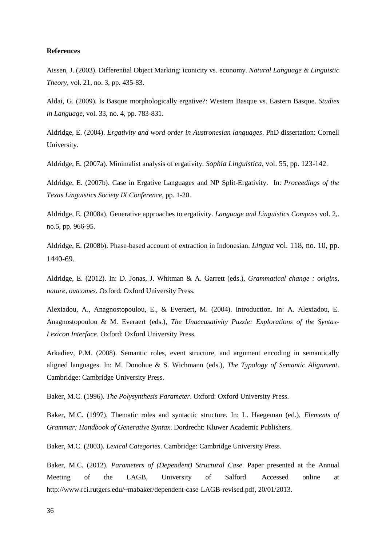## **References**

Aissen, J. (2003). Differential Object Marking: iconicity vs. economy. *Natural Language & Linguistic Theory*, vol. 21, no. 3, pp. 435-83.

Aldai, G. (2009). Is Basque morphologically ergative?: Western Basque vs. Eastern Basque. *Studies in Language*, vol. 33, no. 4, pp. 783-831.

Aldridge, E. (2004). *Ergativity and word order in Austronesian languages*. PhD dissertation: Cornell University.

Aldridge, E. (2007a). Minimalist analysis of ergativity. *Sophia Linguistica*, vol. 55, pp. 123-142.

Aldridge, E. (2007b). Case in Ergative Languages and NP Split-Ergativity. In: *Proceedings of the Texas Linguistics Society IX Conference*, pp. 1-20.

Aldridge, E. (2008a). Generative approaches to ergativity. *Language and Linguistics Compass* vol. 2,. no.5, pp. 966-95.

Aldridge, E. (2008b). Phase-based account of extraction in Indonesian. *Lingua* vol. 118, no. 10, pp. 1440-69.

Aldridge, E. (2012). In: D. Jonas, J. Whitman & A. Garrett (eds.), *Grammatical change : origins, nature, outcomes*. Oxford: Oxford University Press.

Alexiadou, A., Anagnostopoulou, E., & Everaert, M. (2004). Introduction. In: A. Alexiadou, E. Anagnostopoulou & M. Everaert (eds.), *The Unaccusativity Puzzle: Explorations of the Syntax-Lexicon Interface*. Oxford: Oxford University Press.

Arkadiev, P.M. (2008). Semantic roles, event structure, and argument encoding in semantically aligned languages. In: M. Donohue & S. Wichmann (eds.), *The Typology of Semantic Alignment*. Cambridge: Cambridge University Press.

Baker, M.C. (1996). *The Polysynthesis Parameter*. Oxford: Oxford University Press.

Baker, M.C. (1997). Thematic roles and syntactic structure. In: L. Haegeman (ed.), *Elements of Grammar: Handbook of Generative Syntax*. Dordrecht: Kluwer Academic Publishers.

Baker, M.C. (2003). *Lexical Categories*. Cambridge: Cambridge University Press.

Baker, M.C. (2012). *Parameters of (Dependent) Structural Case*. Paper presented at the Annual Meeting of the LAGB, University of Salford. Accessed online at [http://www.rci.rutgers.edu/~mabaker/dependent-case-LAGB-revised.pdf,](http://www.rci.rutgers.edu/~mabaker/dependent-case-LAGB-revised.pdf) 20/01/2013.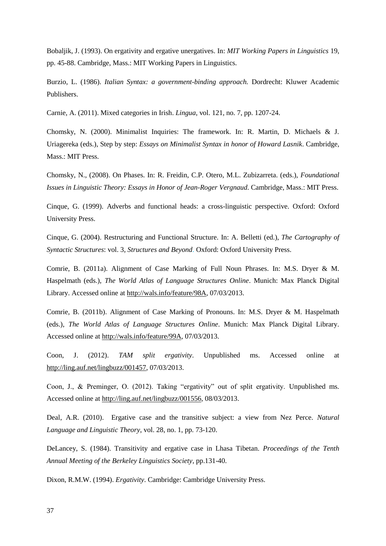Bobaljik, J. (1993). On ergativity and ergative unergatives. In: *MIT Working Papers in Linguistics* 19, pp. 45-88. Cambridge, Mass.: MIT Working Papers in Linguistics.

Burzio, L. (1986). *Italian Syntax: a government-binding approach.* Dordrecht: Kluwer Academic Publishers.

Carnie, A. (2011). Mixed categories in Irish. *Lingua*, vol. 121, no. 7, pp. 1207-24.

Chomsky, N. (2000). Minimalist Inquiries: The framework. In: R. Martin, D. Michaels & J. Uriagereka (eds.), Step by step: *Essays on Minimalist Syntax in honor of Howard Lasnik*. Cambridge, Mass.: MIT Press.

Chomsky, N., (2008). On Phases. In: R. Freidin, C.P. Otero, M.L. Zubizarreta. (eds.), *Foundational Issues in Linguistic Theory: Essays in Honor of Jean-Roger Vergnaud*. Cambridge, Mass.: MIT Press.

Cinque, G. (1999). Adverbs and functional heads: a cross-linguistic perspective. Oxford: Oxford University Press.

Cinque, G. (2004). Restructuring and Functional Structure. In: A. Belletti (ed.), *The Cartography of Syntactic Structures*: vol. 3, *Structures and Beyond*. Oxford: Oxford University Press.

Comrie, B. (2011a). Alignment of Case Marking of Full Noun Phrases. In: M.S. Dryer & M. Haspelmath (eds.), *The World Atlas of Language Structures Online*. Munich: Max Planck Digital Library. Accessed online at http://wals.info/feature/98A, 07/03/2013.

Comrie, B. (2011b). Alignment of Case Marking of Pronouns. In: M.S. Dryer & M. Haspelmath (eds.), *The World Atlas of Language Structures Online*. Munich: Max Planck Digital Library. Accessed online at http://wals.info/feature/99A, 07/03/2013.

Coon, J. (2012). *TAM split ergativity*. Unpublished ms. Accessed online at http://ling.auf.net/lingbuzz/001457, 07/03/2013.

Coon, J., & Preminger, O. (2012). Taking "ergativity" out of split ergativity. Unpublished ms. Accessed online at http://ling.auf.net/lingbuzz/001556, 08/03/2013.

Deal, A.R. (2010). Ergative case and the transitive subject: a view from Nez Perce. *Natural Language and Linguistic Theory*, vol. 28, no. 1, pp. 73-120.

DeLancey, S. (1984). Transitivity and ergative case in Lhasa Tibetan. *Proceedings of the Tenth Annual Meeting of the Berkeley Linguistics Society*, pp.131-40.

Dixon, R.M.W. (1994). *Ergativity*. Cambridge: Cambridge University Press.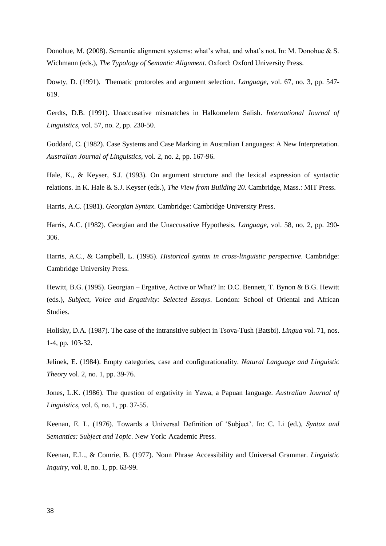Donohue, M. (2008). Semantic alignment systems: what's what, and what's not. In: M. Donohue & S. Wichmann (eds.), *The Typology of Semantic Alignment*. Oxford: Oxford University Press.

Dowty, D. (1991). Thematic protoroles and argument selection. *Language*, vol. 67, no. 3, pp. 547- 619.

Gerdts, D.B. (1991). Unaccusative mismatches in Halkomelem Salish. *International Journal of Linguistics*, vol. 57, no. 2, pp. 230-50.

Goddard, C. (1982). Case Systems and Case Marking in Australian Languages: A New Interpretation. *Australian Journal of Linguistics*, vol. 2, no. 2, pp. 167-96.

Hale, K., & Keyser, S.J. (1993). On argument structure and the lexical expression of syntactic relations. In K. Hale & S.J. Keyser (eds.), *The View from Building 20*. Cambridge, Mass.: MIT Press.

Harris, A.C. (1981). *Georgian Syntax*. Cambridge: Cambridge University Press.

Harris, A.C. (1982). Georgian and the Unaccusative Hypothesis. *Language*, vol. 58, no. 2, pp. 290- 306.

Harris, A.C., & Campbell, L. (1995). *Historical syntax in cross-linguistic perspective*. Cambridge: Cambridge University Press.

Hewitt, B.G. (1995). Georgian – Ergative, Active or What? In: D.C. Bennett, T. Bynon & B.G. Hewitt (eds.), *Subject, Voice and Ergativity: Selected Essays*. London: School of Oriental and African Studies.

Holisky, D.A. (1987). The case of the intransitive subject in Tsova-Tush (Batsbi). *Lingua* vol. 71, nos. 1-4, pp. 103-32.

Jelinek, E. (1984). Empty categories, case and configurationality. *Natural Language and Linguistic Theory* vol. 2, no. 1, pp. 39-76.

Jones, L.K. (1986). The question of ergativity in Yawa, a Papuan language. *Australian Journal of Linguistics*, vol. 6, no. 1, pp. 37-55.

Keenan, E. L. (1976). Towards a Universal Definition of 'Subject'. In: C. Li (ed.), *Syntax and Semantics: Subject and Topic*. New York: Academic Press.

Keenan, E.L., & Comrie, B. (1977). Noun Phrase Accessibility and Universal Grammar. *Linguistic Inquiry*, vol. 8, no. 1, pp. 63-99.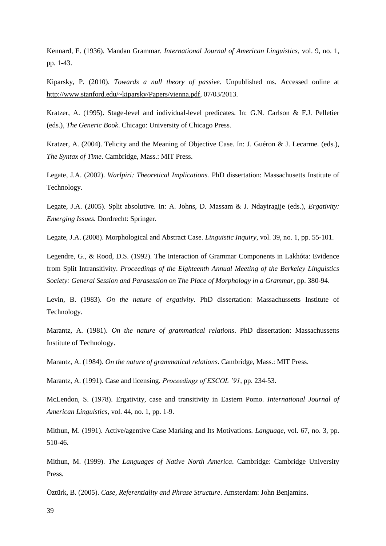Kennard, E. (1936). Mandan Grammar. *International Journal of American Linguistics*, vol. 9, no. 1, pp. 1-43.

Kiparsky, P. (2010). *Towards a null theory of passive*. Unpublished ms. Accessed online at http://www.stanford.edu/~kiparsky/Papers/vienna.pdf, 07/03/2013.

Kratzer, A. (1995). Stage-level and individual-level predicates. In: G.N. Carlson & F.J. Pelletier (eds.), *The Generic Book*. Chicago: University of Chicago Press.

Kratzer, A. (2004). Telicity and the Meaning of Objective Case. In: J. Guéron & J. Lecarme. (eds.), *The Syntax of Time*. Cambridge, Mass.: MIT Press.

Legate, J.A. (2002). *Warlpiri: Theoretical Implications.* PhD dissertation: Massachusetts Institute of Technology.

Legate, J.A. (2005). Split absolutive. In: A. Johns, D. Massam & J. Ndayiragije (eds.), *Ergativity: Emerging Issues.* Dordrecht: Springer.

Legate, J.A. (2008). Morphological and Abstract Case. *Linguistic Inquiry*, vol. 39, no. 1, pp. 55-101.

Legendre, G., & Rood, D.S. (1992). The Interaction of Grammar Components in Lakhóta: Evidence from Split Intransitivity. *Proceedings of the Eighteenth Annual Meeting of the Berkeley Linguistics Society: General Session and Parasession on The Place of Morphology in a Grammar*, pp. 380-94.

Levin, B. (1983). *On the nature of ergativity*. PhD dissertation: Massachussetts Institute of Technology.

Marantz, A. (1981). *On the nature of grammatical relations*. PhD dissertation: Massachussetts Institute of Technology.

Marantz, A. (1984). *On the nature of grammatical relations*. Cambridge, Mass.: MIT Press.

Marantz, A. (1991). Case and licensing. *Proceedings of ESCOL '91*, pp. 234-53.

McLendon, S. (1978). Ergativity, case and transitivity in Eastern Pomo. *International Journal of American Linguistics*, vol. 44, no. 1, pp. 1-9.

Mithun, M. (1991). Active/agentive Case Marking and Its Motivations. *Language*, vol. 67, no. 3, pp. 510-46.

Mithun, M. (1999). *The Languages of Native North America*. Cambridge: Cambridge University Press.

Öztürk, B. (2005). *Case, Referentiality and Phrase Structure*. Amsterdam: John Benjamins.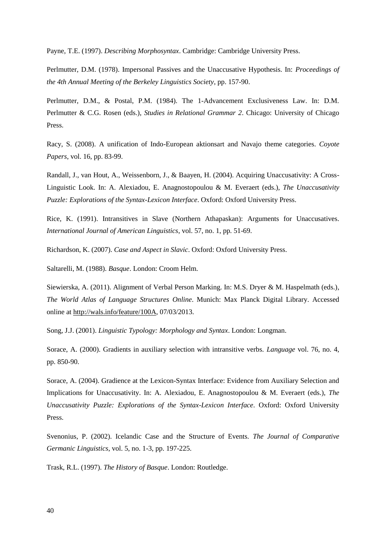Payne, T.E. (1997). *Describing Morphosyntax*. Cambridge: Cambridge University Press.

Perlmutter, D.M. (1978). Impersonal Passives and the Unaccusative Hypothesis. In: *Proceedings of the 4th Annual Meeting of the Berkeley Linguistics Society*, pp. 157-90.

Perlmutter, D.M., & Postal, P.M. (1984). The 1-Advancement Exclusiveness Law. In: D.M. Perlmutter & C.G. Rosen (eds.), *Studies in Relational Grammar 2*. Chicago: University of Chicago Press.

Racy, S. (2008). A unification of Indo-European aktionsart and Navajo theme categories. *Coyote Papers*, vol. 16, pp. 83-99.

Randall, J., van Hout, A., Weissenborn, J., & Baayen, H. (2004). Acquiring Unaccusativity: A Cross-Linguistic Look. In: A. Alexiadou, E. Anagnostopoulou & M. Everaert (eds.), *The Unaccusativity Puzzle: Explorations of the Syntax-Lexicon Interface*. Oxford: Oxford University Press.

Rice, K. (1991). Intransitives in Slave (Northern Athapaskan): Arguments for Unaccusatives. *International Journal of American Linguistics*, vol. 57, no. 1, pp. 51-69.

Richardson, K. (2007). *Case and Aspect in Slavic*. Oxford: Oxford University Press.

Saltarelli, M. (1988). *Basque*. London: Croom Helm.

Siewierska, A. (2011). Alignment of Verbal Person Marking. In: M.S. Dryer & M. Haspelmath (eds.), *The World Atlas of Language Structures Online*. Munich: Max Planck Digital Library. Accessed online at http://wals.info/feature/100A, 07/03/2013.

Song, J.J. (2001). *Linguistic Typology: Morphology and Syntax*. London: Longman.

Sorace, A. (2000). Gradients in auxiliary selection with intransitive verbs. *Language* vol. 76, no. 4, pp. 850-90.

Sorace, A. (2004). Gradience at the Lexicon-Syntax Interface: Evidence from Auxiliary Selection and Implications for Unaccusativity. In: A. Alexiadou, E. Anagnostopoulou & M. Everaert (eds.), *The Unaccusativity Puzzle: Explorations of the Syntax-Lexicon Interface*. Oxford: Oxford University Press.

Svenonius, P. (2002). Icelandic Case and the Structure of Events. *The Journal of Comparative Germanic Linguistics*, vol. 5, no. 1-3, pp. 197-225.

Trask, R.L. (1997). *The History of Basque*. London: Routledge.